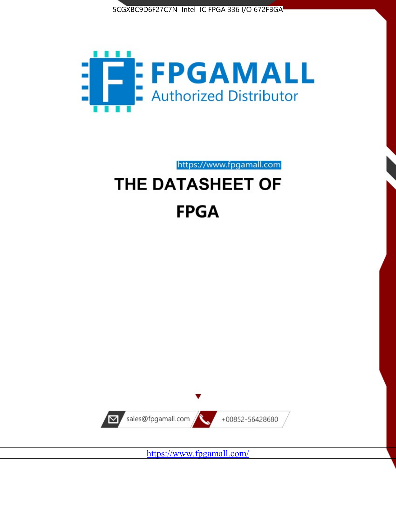



https://www.fpgamall.com

# THE DATASHEET OF **FPGA**



<https://www.fpgamall.com/>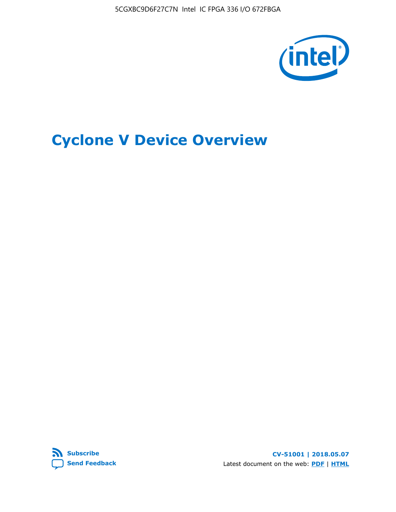5CGXBC9D6F27C7N Intel IC FPGA 336 I/O 672FBGA



# **Cyclone V Device Overview**



**CV-51001 | 2018.05.07** Latest document on the web: **[PDF](https://www.altera.com/en_US/pdfs/literature/hb/cyclone-v/cv_51001.pdf)** | **[HTML](https://www.altera.com/documentation/sam1403480548153.html)**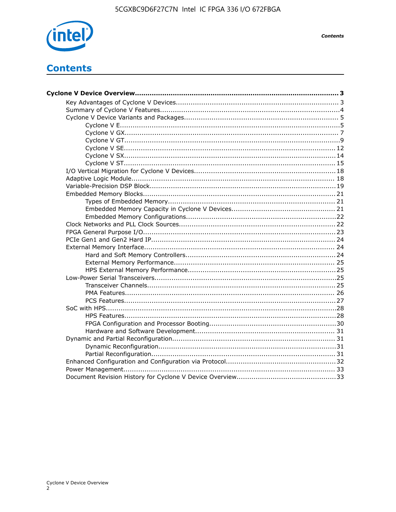

**Contents** 

# **Contents**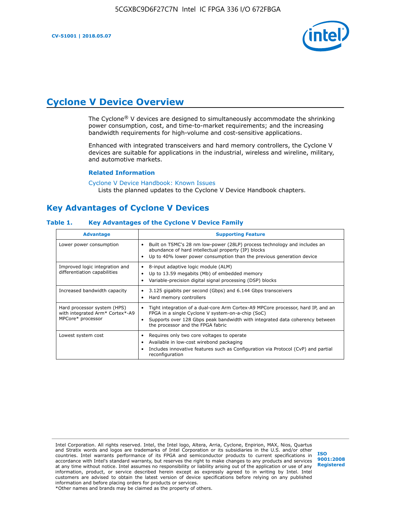

# **Cyclone V Device Overview**

The Cyclone® V devices are designed to simultaneously accommodate the shrinking power consumption, cost, and time-to-market requirements; and the increasing bandwidth requirements for high-volume and cost-sensitive applications.

Enhanced with integrated transceivers and hard memory controllers, the Cyclone V devices are suitable for applications in the industrial, wireless and wireline, military, and automotive markets.

#### **Related Information**

[Cyclone V Device Handbook: Known Issues](https://www.altera.com/support/support-resources/knowledge-base/solutions/rd12152011_347.html) Lists the planned updates to the Cyclone V Device Handbook chapters.

# **Key Advantages of Cyclone V Devices**

#### **Table 1. Key Advantages of the Cyclone V Device Family**

| <b>Advantage</b>                                                                    | <b>Supporting Feature</b>                                                                                                                                                                                                                                                    |
|-------------------------------------------------------------------------------------|------------------------------------------------------------------------------------------------------------------------------------------------------------------------------------------------------------------------------------------------------------------------------|
| Lower power consumption                                                             | Built on TSMC's 28 nm low-power (28LP) process technology and includes an<br>$\bullet$<br>abundance of hard intellectual property (IP) blocks<br>Up to 40% lower power consumption than the previous generation device                                                       |
| Improved logic integration and<br>differentiation capabilities                      | 8-input adaptive logic module (ALM)<br>٠<br>Up to 13.59 megabits (Mb) of embedded memory<br>٠<br>Variable-precision digital signal processing (DSP) blocks                                                                                                                   |
| Increased bandwidth capacity                                                        | 3.125 gigabits per second (Gbps) and 6.144 Gbps transceivers<br>٠<br>Hard memory controllers<br>٠                                                                                                                                                                            |
| Hard processor system (HPS)<br>with integrated Arm* Cortex*-A9<br>MPCore* processor | Tight integration of a dual-core Arm Cortex-A9 MPCore processor, hard IP, and an<br>$\bullet$<br>FPGA in a single Cyclone V system-on-a-chip (SoC)<br>Supports over 128 Gbps peak bandwidth with integrated data coherency between<br>٠<br>the processor and the FPGA fabric |
| Lowest system cost                                                                  | Requires only two core voltages to operate<br>٠<br>Available in low-cost wirebond packaging<br>٠<br>Includes innovative features such as Configuration via Protocol (CvP) and partial<br>٠<br>reconfiguration                                                                |

Intel Corporation. All rights reserved. Intel, the Intel logo, Altera, Arria, Cyclone, Enpirion, MAX, Nios, Quartus and Stratix words and logos are trademarks of Intel Corporation or its subsidiaries in the U.S. and/or other countries. Intel warrants performance of its FPGA and semiconductor products to current specifications in accordance with Intel's standard warranty, but reserves the right to make changes to any products and services at any time without notice. Intel assumes no responsibility or liability arising out of the application or use of any information, product, or service described herein except as expressly agreed to in writing by Intel. Intel customers are advised to obtain the latest version of device specifications before relying on any published information and before placing orders for products or services. \*Other names and brands may be claimed as the property of others.

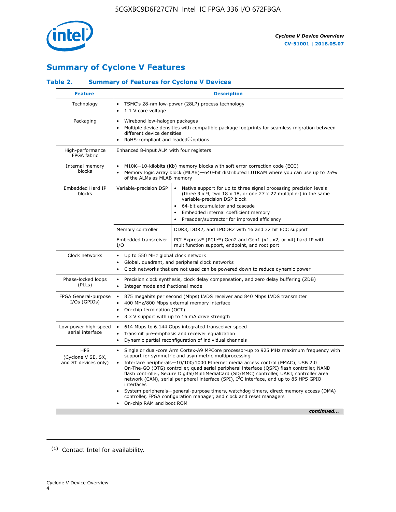

# **Summary of Cyclone V Features**

# **Table 2. Summary of Features for Cyclone V Devices**

| <b>Feature</b>                                           | <b>Description</b>                                                                                                                                                                                                                                                                                                                        |                                                                                                                                                                                                                                                                                                                                                                                                                                                                                                                                                                                                                                                                                                         |  |  |  |  |  |  |
|----------------------------------------------------------|-------------------------------------------------------------------------------------------------------------------------------------------------------------------------------------------------------------------------------------------------------------------------------------------------------------------------------------------|---------------------------------------------------------------------------------------------------------------------------------------------------------------------------------------------------------------------------------------------------------------------------------------------------------------------------------------------------------------------------------------------------------------------------------------------------------------------------------------------------------------------------------------------------------------------------------------------------------------------------------------------------------------------------------------------------------|--|--|--|--|--|--|
| Technology                                               | TSMC's 28-nm low-power (28LP) process technology<br>$\bullet$<br>1.1 V core voltage<br>$\bullet$                                                                                                                                                                                                                                          |                                                                                                                                                                                                                                                                                                                                                                                                                                                                                                                                                                                                                                                                                                         |  |  |  |  |  |  |
| Packaging                                                | $\bullet$                                                                                                                                                                                                                                                                                                                                 | Wirebond low-halogen packages<br>Multiple device densities with compatible package footprints for seamless migration between<br>different device densities<br>RoHS-compliant and leaded $(1)$ options                                                                                                                                                                                                                                                                                                                                                                                                                                                                                                   |  |  |  |  |  |  |
| High-performance<br>FPGA fabric                          | Enhanced 8-input ALM with four registers                                                                                                                                                                                                                                                                                                  |                                                                                                                                                                                                                                                                                                                                                                                                                                                                                                                                                                                                                                                                                                         |  |  |  |  |  |  |
| Internal memory<br>blocks                                | of the ALMs as MLAB memory                                                                                                                                                                                                                                                                                                                | M10K-10-kilobits (Kb) memory blocks with soft error correction code (ECC)<br>Memory logic array block (MLAB)-640-bit distributed LUTRAM where you can use up to 25%                                                                                                                                                                                                                                                                                                                                                                                                                                                                                                                                     |  |  |  |  |  |  |
| Embedded Hard IP<br>blocks                               | Variable-precision DSP<br>Native support for up to three signal processing precision levels<br>(three $9 \times 9$ , two $18 \times 18$ , or one 27 x 27 multiplier) in the same<br>variable-precision DSP block<br>64-bit accumulator and cascade<br>Embedded internal coefficient memory<br>Preadder/subtractor for improved efficiency |                                                                                                                                                                                                                                                                                                                                                                                                                                                                                                                                                                                                                                                                                                         |  |  |  |  |  |  |
|                                                          | Memory controller                                                                                                                                                                                                                                                                                                                         | DDR3, DDR2, and LPDDR2 with 16 and 32 bit ECC support                                                                                                                                                                                                                                                                                                                                                                                                                                                                                                                                                                                                                                                   |  |  |  |  |  |  |
|                                                          | Embedded transceiver<br>I/O                                                                                                                                                                                                                                                                                                               | PCI Express* (PCIe*) Gen2 and Gen1 (x1, x2, or x4) hard IP with<br>multifunction support, endpoint, and root port                                                                                                                                                                                                                                                                                                                                                                                                                                                                                                                                                                                       |  |  |  |  |  |  |
| Clock networks                                           | Up to 550 MHz global clock network<br>$\bullet$<br>$\bullet$                                                                                                                                                                                                                                                                              | Global, quadrant, and peripheral clock networks<br>Clock networks that are not used can be powered down to reduce dynamic power                                                                                                                                                                                                                                                                                                                                                                                                                                                                                                                                                                         |  |  |  |  |  |  |
| Phase-locked loops<br>(PLLs)                             | $\bullet$<br>Integer mode and fractional mode<br>$\bullet$                                                                                                                                                                                                                                                                                | Precision clock synthesis, clock delay compensation, and zero delay buffering (ZDB)                                                                                                                                                                                                                                                                                                                                                                                                                                                                                                                                                                                                                     |  |  |  |  |  |  |
| FPGA General-purpose<br>$I/Os$ (GPIOs)                   | $\bullet$<br>$\bullet$<br>On-chip termination (OCT)<br>$\bullet$                                                                                                                                                                                                                                                                          | 875 megabits per second (Mbps) LVDS receiver and 840 Mbps LVDS transmitter<br>400 MHz/800 Mbps external memory interface<br>3.3 V support with up to 16 mA drive strength                                                                                                                                                                                                                                                                                                                                                                                                                                                                                                                               |  |  |  |  |  |  |
| Low-power high-speed<br>serial interface                 | 614 Mbps to 6.144 Gbps integrated transceiver speed<br>$\bullet$<br>Transmit pre-emphasis and receiver equalization<br>$\bullet$<br>Dynamic partial reconfiguration of individual channels<br>$\bullet$                                                                                                                                   |                                                                                                                                                                                                                                                                                                                                                                                                                                                                                                                                                                                                                                                                                                         |  |  |  |  |  |  |
| <b>HPS</b><br>(Cyclone V SE, SX,<br>and ST devices only) | $\bullet$<br>$\bullet$<br>interfaces<br>On-chip RAM and boot ROM                                                                                                                                                                                                                                                                          | Single or dual-core Arm Cortex-A9 MPCore processor-up to 925 MHz maximum frequency with<br>support for symmetric and asymmetric multiprocessing<br>Interface peripherals-10/100/1000 Ethernet media access control (EMAC), USB 2.0<br>On-The-GO (OTG) controller, quad serial peripheral interface (QSPI) flash controller, NAND<br>flash controller, Secure Digital/MultiMediaCard (SD/MMC) controller, UART, controller area<br>network (CAN), serial peripheral interface (SPI), I <sup>2</sup> C interface, and up to 85 HPS GPIO<br>System peripherals—general-purpose timers, watchdog timers, direct memory access (DMA)<br>controller, FPGA configuration manager, and clock and reset managers |  |  |  |  |  |  |
|                                                          |                                                                                                                                                                                                                                                                                                                                           | continued                                                                                                                                                                                                                                                                                                                                                                                                                                                                                                                                                                                                                                                                                               |  |  |  |  |  |  |

<sup>(1)</sup> Contact Intel for availability.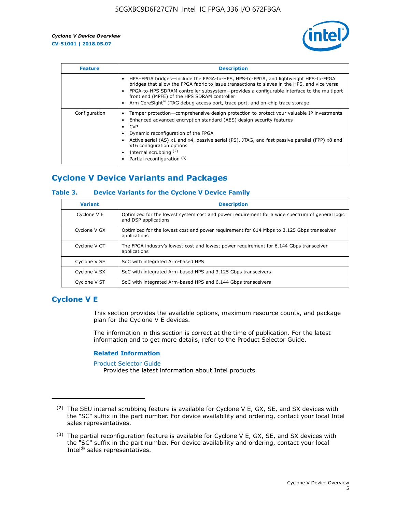

| <b>Feature</b> | <b>Description</b>                                                                                                                                                                                                                                                                                                                                                                                                    |
|----------------|-----------------------------------------------------------------------------------------------------------------------------------------------------------------------------------------------------------------------------------------------------------------------------------------------------------------------------------------------------------------------------------------------------------------------|
|                | HPS-FPGA bridges—include the FPGA-to-HPS, HPS-to-FPGA, and lightweight HPS-to-FPGA<br>bridges that allow the FPGA fabric to issue transactions to slaves in the HPS, and vice versa<br>FPGA-to-HPS SDRAM controller subsystem-provides a configurable interface to the multiport<br>front end (MPFE) of the HPS SDRAM controller<br>Arm CoreSight™ JTAG debug access port, trace port, and on-chip trace storage      |
| Configuration  | Tamper protection—comprehensive design protection to protect your valuable IP investments<br>Enhanced advanced encryption standard (AES) design security features<br>CvP<br>$\bullet$<br>Dynamic reconfiguration of the FPGA<br>Active serial (AS) x1 and x4, passive serial (PS), JTAG, and fast passive parallel (FPP) x8 and<br>x16 configuration options<br>Internal scrubbing (2)<br>Partial reconfiguration (3) |

# **Cyclone V Device Variants and Packages**

## **Table 3. Device Variants for the Cyclone V Device Family**

| <b>Variant</b> | <b>Description</b>                                                                                                      |
|----------------|-------------------------------------------------------------------------------------------------------------------------|
| Cyclone V E    | Optimized for the lowest system cost and power requirement for a wide spectrum of general logic<br>and DSP applications |
| Cyclone V GX   | Optimized for the lowest cost and power requirement for 614 Mbps to 3.125 Gbps transceiver<br>applications              |
| Cyclone V GT   | The FPGA industry's lowest cost and lowest power requirement for 6.144 Gbps transceiver<br>applications                 |
| Cyclone V SE   | SoC with integrated Arm-based HPS                                                                                       |
| Cyclone V SX   | SoC with integrated Arm-based HPS and 3.125 Gbps transceivers                                                           |
| Cyclone V ST   | SoC with integrated Arm-based HPS and 6.144 Gbps transceivers                                                           |

# **Cyclone V E**

This section provides the available options, maximum resource counts, and package plan for the Cyclone V E devices.

The information in this section is correct at the time of publication. For the latest information and to get more details, refer to the Product Selector Guide.

#### **Related Information**

[Product Selector Guide](https://www.altera.com/products/product-selector-guide.html)

Provides the latest information about Intel products.

<sup>(2)</sup> The SEU internal scrubbing feature is available for Cyclone V E, GX, SE, and SX devices with the "SC" suffix in the part number. For device availability and ordering, contact your local Intel sales representatives.

 $(3)$  The partial reconfiguration feature is available for Cyclone V E, GX, SE, and SX devices with the "SC" suffix in the part number. For device availability and ordering, contact your local Intel® sales representatives.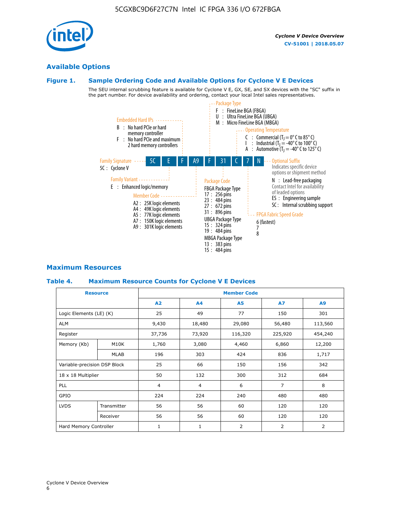# **Available Options**

## **Figure 1. Sample Ordering Code and Available Options for Cyclone V E Devices**

The SEU internal scrubbing feature is available for Cyclone V E, GX, SE, and SX devices with the "SC" suffix in the part number. For device availability and ordering, contact your local Intel sales representatives.



# **Maximum Resources**

## **Table 4. Maximum Resource Counts for Cyclone V E Devices**

| <b>Resource</b>              |             | <b>Member Code</b> |                |                |                |         |  |  |
|------------------------------|-------------|--------------------|----------------|----------------|----------------|---------|--|--|
|                              |             | A2                 | A <sub>4</sub> | <b>A5</b>      | <b>A7</b>      | A9      |  |  |
| Logic Elements (LE) (K)      |             | 25                 | 49             | 77             | 150            | 301     |  |  |
| <b>ALM</b>                   |             | 9,430              | 18,480         | 29,080         | 56,480         | 113,560 |  |  |
| Register                     |             | 37,736             | 73,920         | 116,320        | 225,920        | 454,240 |  |  |
| Memory (Kb)                  | M10K        | 1,760              | 3,080          | 4,460          | 6,860          | 12,200  |  |  |
|                              | MLAB        | 196                | 303            | 424            | 836            | 1,717   |  |  |
| Variable-precision DSP Block |             | 25                 | 66             | 150            | 156            | 342     |  |  |
| 18 x 18 Multiplier           |             | 50                 | 132            | 300            | 312            | 684     |  |  |
| PLL                          |             | $\overline{4}$     | $\overline{4}$ | 6              | $\overline{7}$ | 8       |  |  |
| GPIO                         |             | 224                | 224            | 240            | 480            | 480     |  |  |
| <b>LVDS</b>                  | Transmitter | 56                 | 56             | 60             | 120            | 120     |  |  |
|                              | Receiver    | 56                 | 56             | 60             | 120            | 120     |  |  |
| Hard Memory Controller       |             | $\mathbf{1}$       | $\mathbf{1}$   | $\overline{2}$ | $\overline{2}$ | 2       |  |  |

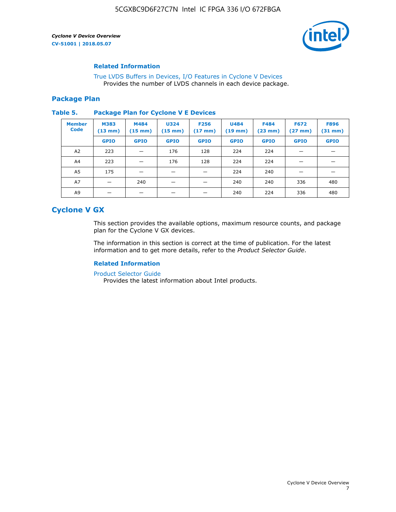

## **Related Information**

[True LVDS Buffers in Devices, I/O Features in Cyclone V Devices](https://www.altera.com/documentation/sam1403481100977.html#sam1403480885395) Provides the number of LVDS channels in each device package.

## **Package Plan**

#### **Table 5. Package Plan for Cyclone V E Devices**

| <b>Member</b><br><b>Code</b> | <b>M383</b><br>$(13 \text{ mm})$ | M484<br>$(15 \text{ mm})$ | <b>U324</b><br>$(15 \text{ mm})$ | <b>F256</b><br>$(17 \text{ mm})$ | <b>U484</b><br>$(19$ mm) | <b>F484</b><br>$(23$ mm $)$ | <b>F672</b><br>$(27 \text{ mm})$ | <b>F896</b><br>$(31 \text{ mm})$ |
|------------------------------|----------------------------------|---------------------------|----------------------------------|----------------------------------|--------------------------|-----------------------------|----------------------------------|----------------------------------|
|                              | <b>GPIO</b>                      | <b>GPIO</b>               | <b>GPIO</b>                      | <b>GPIO</b>                      | <b>GPIO</b>              | <b>GPIO</b>                 | <b>GPIO</b>                      | <b>GPIO</b>                      |
| A <sub>2</sub>               | 223                              |                           | 176                              | 128                              | 224                      | 224                         |                                  |                                  |
| A4                           | 223                              |                           | 176                              | 128                              | 224                      | 224                         | –                                |                                  |
| A <sub>5</sub>               | 175                              |                           |                                  |                                  | 224                      | 240                         |                                  |                                  |
| A7                           |                                  | 240                       |                                  |                                  | 240                      | 240                         | 336                              | 480                              |
| A9                           |                                  |                           |                                  |                                  | 240                      | 224                         | 336                              | 480                              |

# **Cyclone V GX**

This section provides the available options, maximum resource counts, and package plan for the Cyclone V GX devices.

The information in this section is correct at the time of publication. For the latest information and to get more details, refer to the *Product Selector Guide*.

# **Related Information**

[Product Selector Guide](https://www.altera.com/products/product-selector-guide.html)

Provides the latest information about Intel products.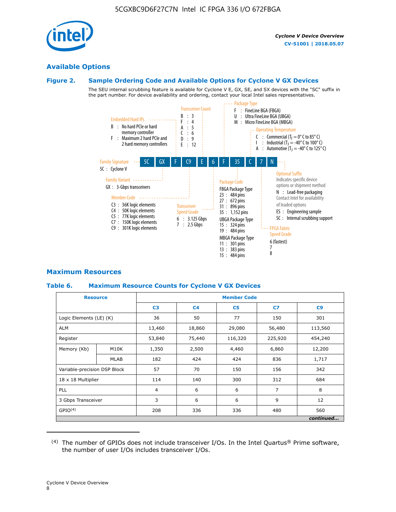

# **Available Options**

#### **Figure 2. Sample Ordering Code and Available Options for Cyclone V GX Devices**

The SEU internal scrubbing feature is available for Cyclone V E, GX, SE, and SX devices with the "SC" suffix in the part number. For device availability and ordering, contact your local Intel sales representatives.



# **Maximum Resources**

## **Table 6. Maximum Resource Counts for Cyclone V GX Devices**

|                              | <b>Resource</b> | <b>Member Code</b> |                |                |                |           |  |  |
|------------------------------|-----------------|--------------------|----------------|----------------|----------------|-----------|--|--|
|                              |                 | C <sub>3</sub>     | C <sub>4</sub> | C <sub>5</sub> | C7             | C9        |  |  |
| Logic Elements (LE) (K)      |                 | 36                 | 50             | 77             | 150            | 301       |  |  |
| <b>ALM</b>                   |                 | 13,460             | 18,860         | 29,080         | 56,480         | 113,560   |  |  |
| Register                     |                 | 53,840             | 75,440         | 116,320        | 225,920        | 454,240   |  |  |
| Memory (Kb)                  | M10K            | 1,350              | 2,500          | 4,460          | 6,860          | 12,200    |  |  |
|                              | <b>MLAB</b>     | 182                | 424            | 424            | 836            | 1,717     |  |  |
| Variable-precision DSP Block |                 | 57                 | 70             | 150            | 156            | 342       |  |  |
| 18 x 18 Multiplier           |                 | 114                | 140            | 300            | 312            | 684       |  |  |
| PLL                          |                 | $\overline{4}$     | 6              | 6              | $\overline{7}$ | 8         |  |  |
| 3 Gbps Transceiver           |                 | 3                  | 6              | 6              | 9              | 12        |  |  |
| GPIO <sup>(4)</sup>          |                 | 208                | 336            | 336            | 480            | 560       |  |  |
|                              |                 |                    |                |                |                | continued |  |  |

 $(4)$  The number of GPIOs does not include transceiver I/Os. In the Intel Quartus® Prime software, the number of user I/Os includes transceiver I/Os.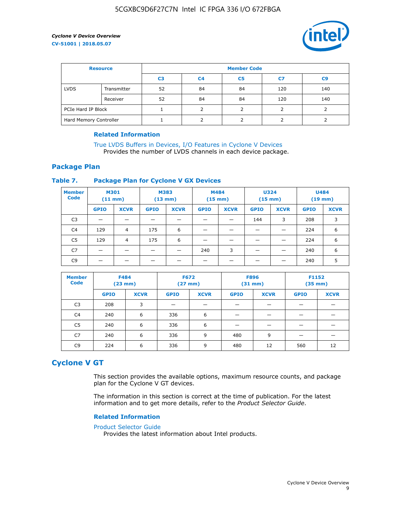

| <b>Resource</b>        |             | <b>Member Code</b> |                |                |     |                |  |  |  |
|------------------------|-------------|--------------------|----------------|----------------|-----|----------------|--|--|--|
|                        |             | C <sub>3</sub>     | C <sub>4</sub> | C <sub>5</sub> | C7  | C <sub>9</sub> |  |  |  |
| <b>LVDS</b>            | Transmitter | 52                 | 84             | 84             | 120 | 140            |  |  |  |
|                        | Receiver    | 52                 | 84             | 84             | 120 | 140            |  |  |  |
| PCIe Hard IP Block     |             |                    |                |                |     |                |  |  |  |
| Hard Memory Controller |             |                    | h              |                |     |                |  |  |  |

## **Related Information**

[True LVDS Buffers in Devices, I/O Features in Cyclone V Devices](https://www.altera.com/documentation/sam1403481100977.html#sam1403480885395) Provides the number of LVDS channels in each device package.

# **Package Plan**

## **Table 7. Package Plan for Cyclone V GX Devices**

| <b>Member</b><br><b>Code</b> | <b>M301</b><br>$(11$ mm) |                | <b>M383</b><br>$(13 \text{ mm})$ |             | M484        | $(15 \text{ mm})$ | <b>U324</b><br>$(15 \text{ mm})$ |             | <b>U484</b><br>$(19$ mm) |             |
|------------------------------|--------------------------|----------------|----------------------------------|-------------|-------------|-------------------|----------------------------------|-------------|--------------------------|-------------|
|                              | <b>GPIO</b>              | <b>XCVR</b>    | <b>GPIO</b>                      | <b>XCVR</b> | <b>GPIO</b> | <b>XCVR</b>       | <b>GPIO</b>                      | <b>XCVR</b> | <b>GPIO</b>              | <b>XCVR</b> |
| C <sub>3</sub>               |                          |                |                                  |             |             |                   | 144                              | 3           | 208                      | 3           |
| C <sub>4</sub>               | 129                      | $\overline{4}$ | 175                              | 6           |             |                   | –                                |             | 224                      | 6           |
| C5                           | 129                      | 4              | 175                              | 6           |             |                   |                                  |             | 224                      | 6           |
| C7                           | _                        |                |                                  |             | 240         | 3                 |                                  |             | 240                      | 6           |
| C9                           |                          |                |                                  |             |             |                   |                                  |             | 240                      | 5           |

| <b>Member</b><br><b>Code</b> | <b>F484</b> | $(23$ mm)   | <b>F672</b> | $(27$ mm $)$ | <b>F896</b><br>$(31 \text{ mm})$ |             | F1152<br>$(35 \text{ mm})$ |             |
|------------------------------|-------------|-------------|-------------|--------------|----------------------------------|-------------|----------------------------|-------------|
|                              | <b>GPIO</b> | <b>XCVR</b> | <b>GPIO</b> | <b>XCVR</b>  | <b>GPIO</b>                      | <b>XCVR</b> | <b>GPIO</b>                | <b>XCVR</b> |
| C <sub>3</sub>               | 208         | 3           |             |              |                                  |             |                            |             |
| C4                           | 240         | 6           | 336         | 6            |                                  |             |                            |             |
| C <sub>5</sub>               | 240         | 6           | 336         | 6            |                                  |             |                            |             |
| C7                           | 240         | 6           | 336         | 9            | 480                              | 9           |                            |             |
| C <sub>9</sub>               | 224         | 6           | 336         | 9            | 480                              | 12          | 560                        | 12          |

# **Cyclone V GT**

This section provides the available options, maximum resource counts, and package plan for the Cyclone V GT devices.

The information in this section is correct at the time of publication. For the latest information and to get more details, refer to the *Product Selector Guide*.

#### **Related Information**

#### [Product Selector Guide](https://www.altera.com/products/product-selector-guide.html)

Provides the latest information about Intel products.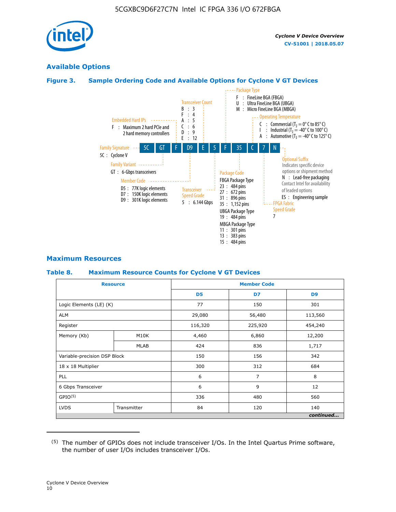

# **Available Options**

# **Figure 3. Sample Ordering Code and Available Options for Cyclone V GT Devices**



## **Maximum Resources**

#### **Table 8. Maximum Resource Counts for Cyclone V GT Devices**

|                              | <b>Resource</b> | <b>Member Code</b> |         |                |  |  |
|------------------------------|-----------------|--------------------|---------|----------------|--|--|
|                              |                 | D <sub>5</sub>     | D7      | D <sub>9</sub> |  |  |
| Logic Elements (LE) (K)      |                 | 77                 | 150     | 301            |  |  |
| <b>ALM</b>                   |                 | 29,080             | 56,480  | 113,560        |  |  |
| Register                     |                 | 116,320            | 225,920 | 454,240        |  |  |
| Memory (Kb)                  | M10K            | 4,460              | 6,860   | 12,200         |  |  |
|                              | <b>MLAB</b>     | 424                | 836     | 1,717          |  |  |
| Variable-precision DSP Block |                 | 150                | 156     | 342            |  |  |
| 18 x 18 Multiplier           |                 | 300                | 312     | 684            |  |  |
| PLL                          |                 | 6                  | 7       | 8              |  |  |
| 6 Gbps Transceiver           |                 | 6                  | 9       | 12             |  |  |
| GPIO <sup>(5)</sup>          |                 | 336                | 480     | 560            |  |  |
| <b>LVDS</b>                  | Transmitter     | 84                 | 120     | 140            |  |  |
|                              |                 |                    |         | continued      |  |  |

<sup>(5)</sup> The number of GPIOs does not include transceiver I/Os. In the Intel Quartus Prime software, the number of user I/Os includes transceiver I/Os.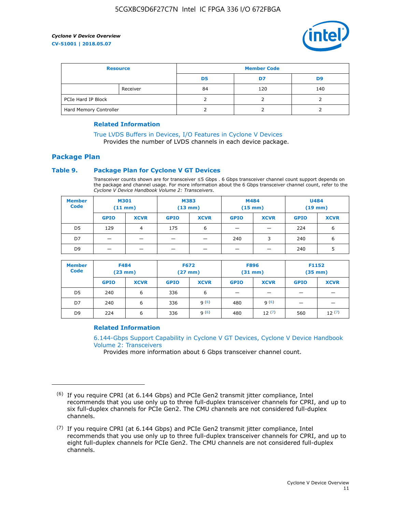

| <b>Resource</b>        |          | <b>Member Code</b> |     |     |  |  |
|------------------------|----------|--------------------|-----|-----|--|--|
|                        |          | D5                 | D7  | D9  |  |  |
|                        | Receiver | 84                 | 120 | 140 |  |  |
| PCIe Hard IP Block     |          |                    |     |     |  |  |
| Hard Memory Controller |          |                    |     |     |  |  |

## **Related Information**

[True LVDS Buffers in Devices, I/O Features in Cyclone V Devices](https://www.altera.com/documentation/sam1403481100977.html#sam1403480885395) Provides the number of LVDS channels in each device package.

# **Package Plan**

## **Table 9. Package Plan for Cyclone V GT Devices**

Transceiver counts shown are for transceiver ≤5 Gbps . 6 Gbps transceiver channel count support depends on the package and channel usage. For more information about the 6 Gbps transceiver channel count, refer to the *Cyclone V Device Handbook Volume 2: Transceivers*.

| <b>Member</b><br><b>Code</b> | <b>M301</b><br>(11 mm) |                | M383<br>$(13 \text{ mm})$ |             | M484<br>$(15 \text{ mm})$ |             | <b>U484</b><br>$(19$ mm) |             |
|------------------------------|------------------------|----------------|---------------------------|-------------|---------------------------|-------------|--------------------------|-------------|
|                              | <b>GPIO</b>            | <b>XCVR</b>    | <b>GPIO</b>               | <b>XCVR</b> | <b>GPIO</b>               | <b>XCVR</b> | <b>GPIO</b>              | <b>XCVR</b> |
| D5                           | 129                    | $\overline{4}$ | 175                       | 6           | -                         |             | 224                      | 6           |
| D7                           | -                      |                |                           |             | 240                       | 3           | 240                      | 6           |
| D <sub>9</sub>               | -                      | _              |                           |             | _                         |             | 240                      | 5           |

| <b>Member</b><br><b>Code</b> | <b>F484</b><br>$(23 \text{ mm})$ |             | <b>F672</b><br>$(27 \text{ mm})$ |             | <b>F896</b><br>$(31$ mm $)$ |             | F1152<br>$(35$ mm $)$ |             |
|------------------------------|----------------------------------|-------------|----------------------------------|-------------|-----------------------------|-------------|-----------------------|-------------|
|                              | <b>GPIO</b>                      | <b>XCVR</b> | <b>GPIO</b>                      | <b>XCVR</b> | <b>GPIO</b>                 | <b>XCVR</b> | <b>GPIO</b>           | <b>XCVR</b> |
| D <sub>5</sub>               | 240                              | 6           | 336                              | 6           | -                           |             |                       |             |
| D7                           | 240                              | 6           | 336                              | q(6)        | 480                         | q(6)        | -                     | _           |
| D <sub>9</sub>               | 224                              | 6           | 336                              | q(6)        | 480                         | 12(7)       | 560                   | 12(7)       |

## **Related Information**

[6.144-Gbps Support Capability in Cyclone V GT Devices, Cyclone V Device Handbook](https://www.altera.com/documentation/nik1409855456781.html#nik1409855410757) [Volume 2: Transceivers](https://www.altera.com/documentation/nik1409855456781.html#nik1409855410757)

Provides more information about 6 Gbps transceiver channel count.

<sup>(6)</sup> If you require CPRI (at 6.144 Gbps) and PCIe Gen2 transmit jitter compliance, Intel recommends that you use only up to three full-duplex transceiver channels for CPRI, and up to six full-duplex channels for PCIe Gen2. The CMU channels are not considered full-duplex channels.

 $(7)$  If you require CPRI (at 6.144 Gbps) and PCIe Gen2 transmit jitter compliance, Intel recommends that you use only up to three full-duplex transceiver channels for CPRI, and up to eight full-duplex channels for PCIe Gen2. The CMU channels are not considered full-duplex channels.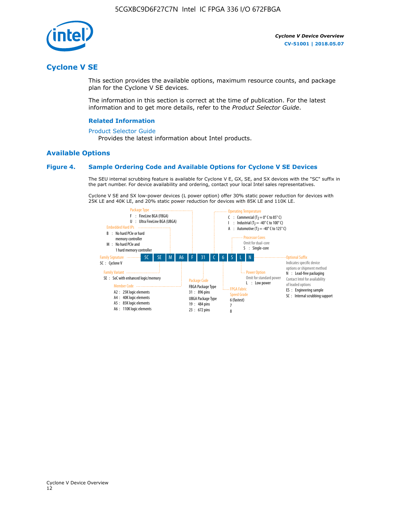

# **Cyclone V SE**

This section provides the available options, maximum resource counts, and package plan for the Cyclone V SE devices.

The information in this section is correct at the time of publication. For the latest information and to get more details, refer to the *Product Selector Guide*.

#### **Related Information**

#### [Product Selector Guide](https://www.altera.com/products/product-selector-guide.html)

Provides the latest information about Intel products.

## **Available Options**

#### **Figure 4. Sample Ordering Code and Available Options for Cyclone V SE Devices**

The SEU internal scrubbing feature is available for Cyclone V E, GX, SE, and SX devices with the "SC" suffix in the part number. For device availability and ordering, contact your local Intel sales representatives.

Cyclone V SE and SX low-power devices (L power option) offer 30% static power reduction for devices with 25K LE and 40K LE, and 20% static power reduction for devices with 85K LE and 110K LE.

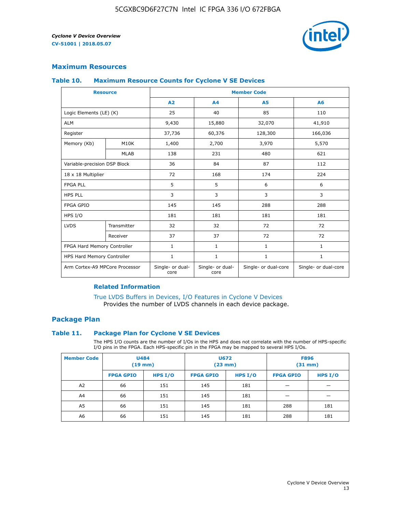

# **Maximum Resources**

#### **Table 10. Maximum Resource Counts for Cyclone V SE Devices**

|                                | <b>Resource</b> | <b>Member Code</b>       |                          |                      |                      |  |
|--------------------------------|-----------------|--------------------------|--------------------------|----------------------|----------------------|--|
|                                |                 | A <sub>2</sub>           | A <sub>4</sub>           | <b>A5</b>            | A6                   |  |
| Logic Elements (LE) (K)        |                 | 25                       | 40                       | 85                   | 110                  |  |
| <b>ALM</b>                     |                 | 9,430                    | 15,880                   | 32,070               | 41,910               |  |
| Register                       |                 | 37,736                   | 60,376                   | 128,300              | 166,036              |  |
| Memory (Kb)                    | M10K            | 1,400                    | 2,700                    | 3,970                | 5,570                |  |
|                                | <b>MLAB</b>     | 138                      | 231                      | 480                  | 621                  |  |
| Variable-precision DSP Block   |                 | 36                       | 84                       | 87                   | 112                  |  |
| 18 x 18 Multiplier             |                 | 72                       | 168                      | 174                  | 224                  |  |
| <b>FPGA PLL</b>                |                 | 5                        | 5                        | 6                    | 6                    |  |
| <b>HPS PLL</b>                 |                 | 3                        | 3                        | 3                    | 3                    |  |
| <b>FPGA GPIO</b>               |                 | 145                      | 145                      | 288                  | 288                  |  |
| HPS I/O                        |                 | 181                      | 181                      | 181                  | 181                  |  |
| <b>LVDS</b>                    | Transmitter     | 32                       | 32                       | 72                   | 72                   |  |
|                                | Receiver        | 37                       | 37                       | 72                   | 72                   |  |
| FPGA Hard Memory Controller    |                 | 1                        | $\mathbf{1}$             | $\mathbf{1}$         | $\mathbf{1}$         |  |
| HPS Hard Memory Controller     |                 | $\mathbf{1}$             | $\mathbf{1}$             | $\mathbf{1}$         | $\mathbf{1}$         |  |
| Arm Cortex-A9 MPCore Processor |                 | Single- or dual-<br>core | Single- or dual-<br>core | Single- or dual-core | Single- or dual-core |  |

# **Related Information**

[True LVDS Buffers in Devices, I/O Features in Cyclone V Devices](https://www.altera.com/documentation/sam1403481100977.html#sam1403480885395) Provides the number of LVDS channels in each device package.

# **Package Plan**

#### **Table 11. Package Plan for Cyclone V SE Devices**

The HPS I/O counts are the number of I/Os in the HPS and does not correlate with the number of HPS-specific I/O pins in the FPGA. Each HPS-specific pin in the FPGA may be mapped to several HPS I/Os.

| <b>Member Code</b> | <b>U484</b><br>$(19$ mm) |           | <b>U672</b><br>(23 mm) |           | <b>F896</b><br>$(31$ mm $)$ |         |
|--------------------|--------------------------|-----------|------------------------|-----------|-----------------------------|---------|
|                    | <b>FPGA GPIO</b>         | HPS $I/O$ | <b>FPGA GPIO</b>       | HPS $I/O$ | <b>FPGA GPIO</b>            | HPS I/O |
| A <sub>2</sub>     | 66                       | 151       | 145                    | 181       |                             |         |
| A4                 | 66                       | 151       | 145                    | 181       |                             |         |
| A <sub>5</sub>     | 66                       | 151       | 145                    | 181       | 288                         | 181     |
| A6                 | 66                       | 151       | 145                    | 181       | 288                         | 181     |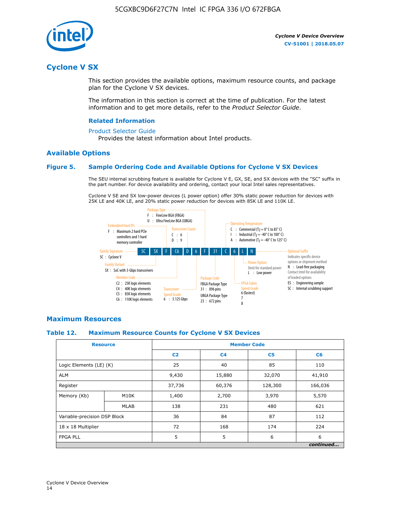

# **Cyclone V SX**

This section provides the available options, maximum resource counts, and package plan for the Cyclone V SX devices.

The information in this section is correct at the time of publication. For the latest information and to get more details, refer to the *Product Selector Guide*.

#### **Related Information**

#### [Product Selector Guide](https://www.altera.com/products/product-selector-guide.html)

Provides the latest information about Intel products.

## **Available Options**

## **Figure 5. Sample Ordering Code and Available Options for Cyclone V SX Devices**

The SEU internal scrubbing feature is available for Cyclone V E, GX, SE, and SX devices with the "SC" suffix in the part number. For device availability and ordering, contact your local Intel sales representatives.

Cyclone V SE and SX low-power devices (L power option) offer 30% static power reduction for devices with 25K LE and 40K LE, and 20% static power reduction for devices with 85K LE and 110K LE.



## **Maximum Resources**

#### **Table 12. Maximum Resource Counts for Cyclone V SX Devices**

|                              | <b>Resource</b> | <b>Member Code</b> |                |                |           |  |  |
|------------------------------|-----------------|--------------------|----------------|----------------|-----------|--|--|
|                              |                 | C <sub>2</sub>     | C <sub>4</sub> | C <sub>5</sub> | C6        |  |  |
| Logic Elements (LE) (K)      |                 | 25                 | 40             | 85             | 110       |  |  |
| <b>ALM</b>                   |                 | 9,430              | 15,880         | 32,070         | 41,910    |  |  |
| Register                     |                 | 37,736             | 60,376         | 128,300        | 166,036   |  |  |
| Memory (Kb)                  | M10K            | 1,400              | 2,700          | 3,970          | 5,570     |  |  |
|                              | <b>MLAB</b>     | 138                | 231            | 480            | 621       |  |  |
| Variable-precision DSP Block |                 | 36                 | 84             | 87             | 112       |  |  |
| 18 x 18 Multiplier           |                 | 72                 | 168            | 174            | 224       |  |  |
| <b>FPGA PLL</b>              |                 | 5                  | 5              | 6              | 6         |  |  |
|                              |                 |                    |                |                | continued |  |  |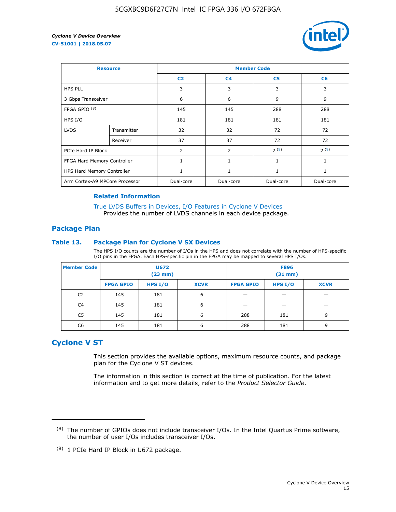

| <b>Resource</b>                |             | <b>Member Code</b> |                |                |                |  |  |
|--------------------------------|-------------|--------------------|----------------|----------------|----------------|--|--|
|                                |             | C <sub>2</sub>     | C <sub>4</sub> | C <sub>5</sub> | C <sub>6</sub> |  |  |
| <b>HPS PLL</b>                 |             | 3                  | 3              | 3              | 3              |  |  |
| 3 Gbps Transceiver             |             | 6                  | 6              | 9              | 9              |  |  |
| FPGA GPIO <sup>(8)</sup>       |             | 145                | 145            | 288            | 288            |  |  |
| HPS I/O                        |             | 181                | 181            | 181            | 181            |  |  |
| <b>LVDS</b>                    | Transmitter | 32                 | 32             | 72             | 72             |  |  |
|                                | Receiver    | 37                 | 37             | 72             | 72             |  |  |
| PCIe Hard IP Block             |             | $\overline{2}$     | 2              | 2(9)           | 2(9)           |  |  |
| FPGA Hard Memory Controller    |             | 1                  | $\mathbf{1}$   | $\mathbf{1}$   | $\mathbf{1}$   |  |  |
| HPS Hard Memory Controller     |             |                    | $\mathbf{1}$   | 1              | 1              |  |  |
| Arm Cortex-A9 MPCore Processor |             | Dual-core          | Dual-core      | Dual-core      | Dual-core      |  |  |

## **Related Information**

[True LVDS Buffers in Devices, I/O Features in Cyclone V Devices](https://www.altera.com/documentation/sam1403481100977.html#sam1403480885395) Provides the number of LVDS channels in each device package.

## **Package Plan**

## **Table 13. Package Plan for Cyclone V SX Devices**

The HPS I/O counts are the number of I/Os in the HPS and does not correlate with the number of HPS-specific I/O pins in the FPGA. Each HPS-specific pin in the FPGA may be mapped to several HPS I/Os.

| <b>Member Code</b> | U672<br>(23 mm)  |           | <b>F896</b><br>$(31$ mm $)$ |                  |         |             |
|--------------------|------------------|-----------|-----------------------------|------------------|---------|-------------|
|                    | <b>FPGA GPIO</b> | HPS $I/O$ | <b>XCVR</b>                 | <b>FPGA GPIO</b> | HPS I/O | <b>XCVR</b> |
| C <sub>2</sub>     | 145              | 181       | 6                           |                  |         |             |
| C4                 | 145              | 181       | 6                           |                  |         |             |
| C <sub>5</sub>     | 145              | 181       | 6                           | 288              | 181     | 9           |
| C6                 | 145              | 181       | 6                           | 288              | 181     | 9           |

# **Cyclone V ST**

This section provides the available options, maximum resource counts, and package plan for the Cyclone V ST devices.

The information in this section is correct at the time of publication. For the latest information and to get more details, refer to the *Product Selector Guide*.

 $(8)$  The number of GPIOs does not include transceiver I/Os. In the Intel Quartus Prime software, the number of user I/Os includes transceiver I/Os.

<sup>(9)</sup> 1 PCIe Hard IP Block in U672 package.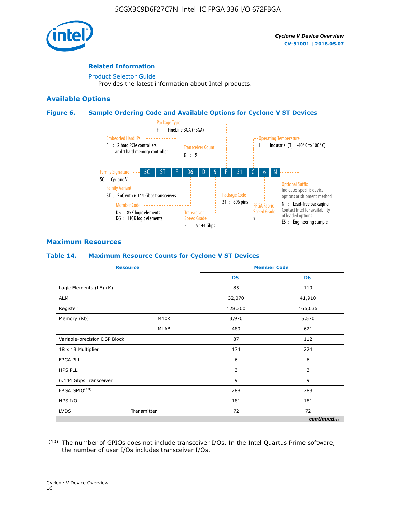

# **Related Information**

[Product Selector Guide](https://www.altera.com/products/product-selector-guide.html) Provides the latest information about Intel products.

# **Available Options**

## **Figure 6. Sample Ordering Code and Available Options for Cyclone V ST Devices**



# **Maximum Resources**

## **Table 14. Maximum Resource Counts for Cyclone V ST Devices**

| <b>Resource</b>              |             |                | <b>Member Code</b> |
|------------------------------|-------------|----------------|--------------------|
|                              |             | D <sub>5</sub> | D <sub>6</sub>     |
| Logic Elements (LE) (K)      |             | 85             | 110                |
| <b>ALM</b>                   |             | 32,070         | 41,910             |
| Register                     |             | 128,300        | 166,036            |
| Memory (Kb)                  | M10K        | 3,970          | 5,570              |
|                              | <b>MLAB</b> | 480            | 621                |
| Variable-precision DSP Block |             | 87             | 112                |
| 18 x 18 Multiplier           |             | 174            | 224                |
| <b>FPGA PLL</b>              |             | 6              | 6                  |
| <b>HPS PLL</b>               |             | 3              | 3                  |
| 6.144 Gbps Transceiver       |             | 9              | 9                  |
| FPGA GPIO(10)                |             | 288            | 288                |
| HPS I/O                      |             | 181            | 181                |
| <b>LVDS</b><br>Transmitter   |             | 72             | 72                 |
|                              |             |                | continued          |

<sup>(10)</sup> The number of GPIOs does not include transceiver I/Os. In the Intel Quartus Prime software, the number of user I/Os includes transceiver I/Os.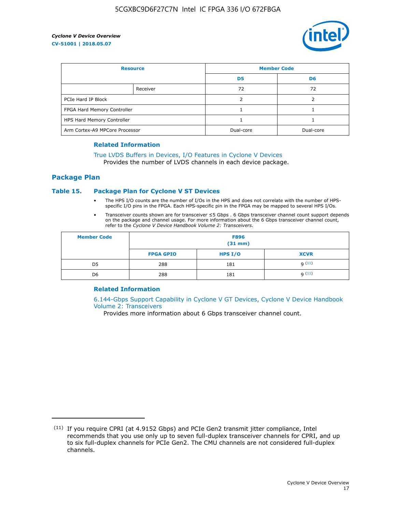

| <b>Resource</b>                |          | <b>Member Code</b> |                |  |
|--------------------------------|----------|--------------------|----------------|--|
|                                |          | D <sub>5</sub>     | D <sub>6</sub> |  |
|                                | Receiver | 72                 | 72             |  |
| PCIe Hard IP Block             |          |                    |                |  |
| FPGA Hard Memory Controller    |          |                    |                |  |
| HPS Hard Memory Controller     |          |                    |                |  |
| Arm Cortex-A9 MPCore Processor |          | Dual-core          | Dual-core      |  |

#### **Related Information**

# [True LVDS Buffers in Devices, I/O Features in Cyclone V Devices](https://www.altera.com/documentation/sam1403481100977.html#sam1403480885395)

Provides the number of LVDS channels in each device package.

## **Package Plan**

## **Table 15. Package Plan for Cyclone V ST Devices**

- The HPS I/O counts are the number of I/Os in the HPS and does not correlate with the number of HPSspecific I/O pins in the FPGA. Each HPS-specific pin in the FPGA may be mapped to several HPS I/Os.
- Transceiver counts shown are for transceiver ≤5 Gbps . 6 Gbps transceiver channel count support depends on the package and channel usage. For more information about the 6 Gbps transceiver channel count, refer to the *Cyclone V Device Handbook Volume 2: Transceivers*.

| <b>Member Code</b> | <b>F896</b><br>$(31$ mm $)$ |           |             |  |  |
|--------------------|-----------------------------|-----------|-------------|--|--|
|                    | <b>FPGA GPIO</b>            | HPS $I/O$ | <b>XCVR</b> |  |  |
| D <sub>5</sub>     | 288                         | 181       | 9(11)       |  |  |
| D <sub>6</sub>     | 288                         | 181       | q(11)       |  |  |

## **Related Information**

[6.144-Gbps Support Capability in Cyclone V GT Devices, Cyclone V Device Handbook](https://www.altera.com/documentation/nik1409855456781.html#nik1409855410757) [Volume 2: Transceivers](https://www.altera.com/documentation/nik1409855456781.html#nik1409855410757)

Provides more information about 6 Gbps transceiver channel count.

<sup>(11)</sup> If you require CPRI (at 4.9152 Gbps) and PCIe Gen2 transmit jitter compliance, Intel recommends that you use only up to seven full-duplex transceiver channels for CPRI, and up to six full-duplex channels for PCIe Gen2. The CMU channels are not considered full-duplex channels.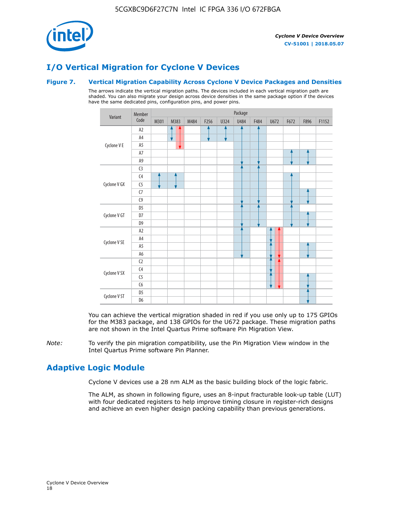

# **I/O Vertical Migration for Cyclone V Devices**

## **Figure 7. Vertical Migration Capability Across Cyclone V Device Packages and Densities**

The arrows indicate the vertical migration paths. The devices included in each vertical migration path are shaded. You can also migrate your design across device densities in the same package option if the devices have the same dedicated pins, configuration pins, and power pins.



You can achieve the vertical migration shaded in red if you use only up to 175 GPIOs for the M383 package, and 138 GPIOs for the U672 package. These migration paths are not shown in the Intel Quartus Prime software Pin Migration View.

*Note:* To verify the pin migration compatibility, use the Pin Migration View window in the Intel Quartus Prime software Pin Planner.

# **Adaptive Logic Module**

Cyclone V devices use a 28 nm ALM as the basic building block of the logic fabric.

The ALM, as shown in following figure, uses an 8-input fracturable look-up table (LUT) with four dedicated registers to help improve timing closure in register-rich designs and achieve an even higher design packing capability than previous generations.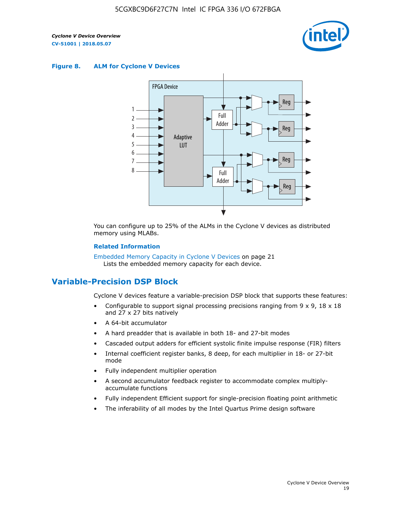

#### **Figure 8. ALM for Cyclone V Devices**



You can configure up to 25% of the ALMs in the Cyclone V devices as distributed memory using MLABs.

#### **Related Information**

Embedded Memory Capacity in Cyclone V Devices on page 21 Lists the embedded memory capacity for each device.

# **Variable-Precision DSP Block**

Cyclone V devices feature a variable-precision DSP block that supports these features:

- Configurable to support signal processing precisions ranging from  $9 \times 9$ ,  $18 \times 18$ and 27 x 27 bits natively
- A 64-bit accumulator
- A hard preadder that is available in both 18- and 27-bit modes
- Cascaded output adders for efficient systolic finite impulse response (FIR) filters
- Internal coefficient register banks, 8 deep, for each multiplier in 18- or 27-bit mode
- Fully independent multiplier operation
- A second accumulator feedback register to accommodate complex multiplyaccumulate functions
- Fully independent Efficient support for single-precision floating point arithmetic
- The inferability of all modes by the Intel Quartus Prime design software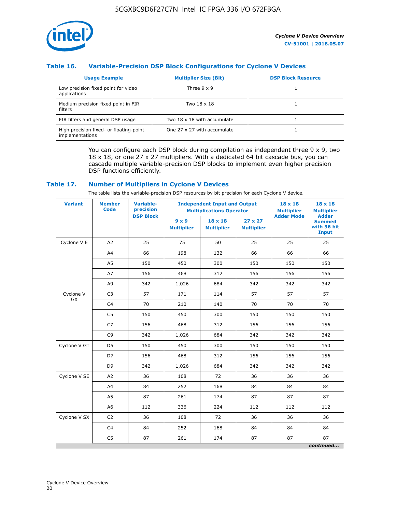

# **Table 16. Variable-Precision DSP Block Configurations for Cyclone V Devices**

| <b>Usage Example</b>                                       | <b>Multiplier Size (Bit)</b> | <b>DSP Block Resource</b> |
|------------------------------------------------------------|------------------------------|---------------------------|
| Low precision fixed point for video<br>applications        | Three $9 \times 9$           |                           |
| Medium precision fixed point in FIR<br>filters             | Two 18 x 18                  |                           |
| FIR filters and general DSP usage                          | Two 18 x 18 with accumulate  |                           |
| High precision fixed- or floating-point<br>implementations | One 27 x 27 with accumulate  |                           |

You can configure each DSP block during compilation as independent three  $9 \times 9$ , two 18 x 18, or one 27 x 27 multipliers. With a dedicated 64 bit cascade bus, you can cascade multiple variable-precision DSP blocks to implement even higher precision DSP functions efficiently.

## **Table 17. Number of Multipliers in Cyclone V Devices**

The table lists the variable-precision DSP resources by bit precision for each Cyclone V device.

| <b>Variant</b>  | <b>Member</b><br><b>Code</b> | <b>Variable-</b><br>precision |                                   | <b>Independent Input and Output</b><br><b>Multiplications Operator</b> |                                     |                   | $18 \times 18$<br><b>Multiplier</b>                          |
|-----------------|------------------------------|-------------------------------|-----------------------------------|------------------------------------------------------------------------|-------------------------------------|-------------------|--------------------------------------------------------------|
|                 |                              | <b>DSP Block</b>              | $9 \times 9$<br><b>Multiplier</b> | $18 \times 18$<br><b>Multiplier</b>                                    | $27 \times 27$<br><b>Multiplier</b> | <b>Adder Mode</b> | <b>Adder</b><br><b>Summed</b><br>with 36 bit<br><b>Input</b> |
| Cyclone V E     | A2                           | 25                            | 75                                | 50                                                                     | 25                                  | 25                | 25                                                           |
|                 | A4                           | 66                            | 198                               | 132                                                                    | 66                                  | 66                | 66                                                           |
|                 | A5                           | 150                           | 450                               | 300                                                                    | 150                                 | 150               | 150                                                          |
|                 | A7                           | 156                           | 468                               | 312                                                                    | 156                                 | 156               | 156                                                          |
|                 | A9                           | 342                           | 1,026                             | 684                                                                    | 342                                 | 342               | 342                                                          |
| Cyclone V<br>GX | C <sub>3</sub>               | 57                            | 171                               | 114                                                                    | 57                                  | 57                | 57                                                           |
|                 | C <sub>4</sub>               | 70                            | 210                               | 140                                                                    | 70                                  | 70                | 70                                                           |
|                 | C <sub>5</sub>               | 150                           | 450                               | 300                                                                    | 150                                 | 150               | 150                                                          |
|                 | C7                           | 156                           | 468                               | 312                                                                    | 156                                 | 156               | 156                                                          |
|                 | C <sub>9</sub>               | 342                           | 1,026                             | 684                                                                    | 342                                 | 342               | 342                                                          |
| Cyclone V GT    | D <sub>5</sub>               | 150                           | 450                               | 300                                                                    | 150                                 | 150               | 150                                                          |
|                 | D7                           | 156                           | 468                               | 312                                                                    | 156                                 | 156               | 156                                                          |
|                 | D <sub>9</sub>               | 342                           | 1,026                             | 684                                                                    | 342                                 | 342               | 342                                                          |
| Cyclone V SE    | A <sub>2</sub>               | 36                            | 108                               | 72                                                                     | 36                                  | 36                | 36                                                           |
|                 | A4                           | 84                            | 252                               | 168                                                                    | 84                                  | 84                | 84                                                           |
|                 | A5                           | 87                            | 261                               | 174                                                                    | 87                                  | 87                | 87                                                           |
|                 | A <sub>6</sub>               | 112                           | 336                               | 224                                                                    | 112                                 | 112               | 112                                                          |
| Cyclone V SX    | C <sub>2</sub>               | 36                            | 108                               | 72                                                                     | 36                                  | 36                | 36                                                           |
|                 | C <sub>4</sub>               | 84                            | 252                               | 168                                                                    | 84                                  | 84                | 84                                                           |
|                 | C <sub>5</sub>               | 87                            | 261                               | 174                                                                    | 87                                  | 87                | 87                                                           |
|                 |                              |                               |                                   |                                                                        |                                     |                   | continued                                                    |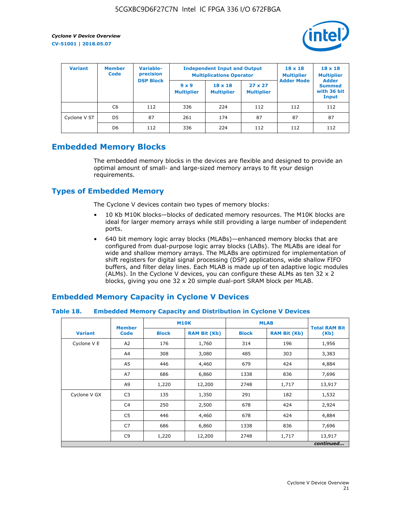

| <b>Variant</b> | <b>Member</b><br><b>Code</b> | Variable-<br>precision<br><b>DSP Block</b> |                                   | <b>Independent Input and Output</b><br><b>Multiplications Operator</b> | $18 \times 18$<br><b>Multiplier</b> | $18 \times 18$<br><b>Multiplier</b><br><b>Adder</b> |                                       |
|----------------|------------------------------|--------------------------------------------|-----------------------------------|------------------------------------------------------------------------|-------------------------------------|-----------------------------------------------------|---------------------------------------|
|                |                              |                                            | $9 \times 9$<br><b>Multiplier</b> | $18 \times 18$<br><b>Multiplier</b>                                    | $27 \times 27$<br><b>Multiplier</b> | <b>Adder Mode</b>                                   | <b>Summed</b><br>with 36 bit<br>Input |
|                | C6                           | 112                                        | 336                               | 224                                                                    | 112                                 | 112                                                 | 112                                   |
| Cyclone V ST   | D <sub>5</sub>               | 87                                         | 261                               | 174                                                                    | 87                                  | 87                                                  | 87                                    |
|                | D <sub>6</sub>               | 112                                        | 336                               | 224                                                                    | 112                                 | 112                                                 | 112                                   |

# **Embedded Memory Blocks**

The embedded memory blocks in the devices are flexible and designed to provide an optimal amount of small- and large-sized memory arrays to fit your design requirements.

# **Types of Embedded Memory**

The Cyclone V devices contain two types of memory blocks:

- 10 Kb M10K blocks—blocks of dedicated memory resources. The M10K blocks are ideal for larger memory arrays while still providing a large number of independent ports.
- 640 bit memory logic array blocks (MLABs)—enhanced memory blocks that are configured from dual-purpose logic array blocks (LABs). The MLABs are ideal for wide and shallow memory arrays. The MLABs are optimized for implementation of shift registers for digital signal processing (DSP) applications, wide shallow FIFO buffers, and filter delay lines. Each MLAB is made up of ten adaptive logic modules (ALMs). In the Cyclone V devices, you can configure these ALMs as ten 32 x 2 blocks, giving you one 32 x 20 simple dual-port SRAM block per MLAB.

# **Embedded Memory Capacity in Cyclone V Devices**

## **Table 18. Embedded Memory Capacity and Distribution in Cyclone V Devices**

|                | <b>Member</b>  | <b>M10K</b>  |                     | <b>MLAB</b>  | <b>Total RAM Bit</b> |        |  |  |  |
|----------------|----------------|--------------|---------------------|--------------|----------------------|--------|--|--|--|
| <b>Variant</b> | <b>Code</b>    | <b>Block</b> | <b>RAM Bit (Kb)</b> | <b>Block</b> | <b>RAM Bit (Kb)</b>  | (Kb)   |  |  |  |
| Cyclone V E    | A2             | 176          | 1,760               | 314          | 196                  | 1,956  |  |  |  |
|                | A4             | 308          | 3,080               | 485          | 303                  | 3,383  |  |  |  |
|                | A5             | 446          | 4,460               | 679          | 424                  | 4,884  |  |  |  |
|                | A7             | 686          | 6,860               | 1338         | 836                  | 7,696  |  |  |  |
|                | A9             | 1,220        | 12,200              | 2748         | 1,717                | 13,917 |  |  |  |
| Cyclone V GX   | C <sub>3</sub> | 135          | 1,350               | 291          | 182                  | 1,532  |  |  |  |
|                | C4             | 250          | 2,500               | 678          | 424                  | 2,924  |  |  |  |
|                | C5             | 446          | 4,460               | 678          | 424                  | 4,884  |  |  |  |
|                | C7             | 686          | 6,860               | 1338         | 836                  | 7,696  |  |  |  |
|                | C <sub>9</sub> | 1,220        | 12,200              | 2748         | 1,717                | 13,917 |  |  |  |
|                | continued      |              |                     |              |                      |        |  |  |  |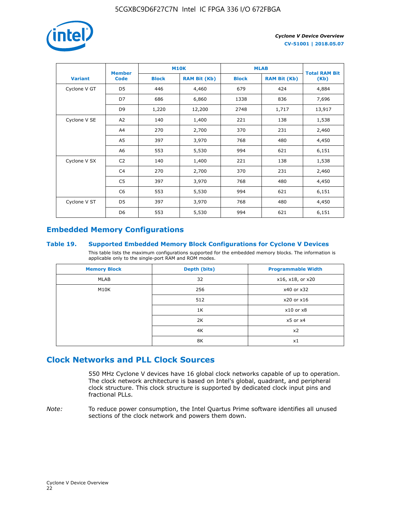

|                | <b>Member</b>  | <b>M10K</b>                         |        | <b>MLAB</b>  | <b>Total RAM Bit</b> |        |  |
|----------------|----------------|-------------------------------------|--------|--------------|----------------------|--------|--|
| <b>Variant</b> | <b>Code</b>    | <b>Block</b><br><b>RAM Bit (Kb)</b> |        | <b>Block</b> | <b>RAM Bit (Kb)</b>  | (Kb)   |  |
| Cyclone V GT   | D <sub>5</sub> | 446                                 | 4,460  | 679          | 424                  | 4,884  |  |
|                | D7             | 686                                 | 6,860  | 1338         | 836                  | 7,696  |  |
|                | D <sub>9</sub> | 1,220                               | 12,200 | 2748         | 1,717                | 13,917 |  |
| Cyclone V SE   | A <sub>2</sub> | 140                                 | 1,400  | 221          | 138                  | 1,538  |  |
|                | A4             | 270                                 | 2,700  | 370          | 231                  | 2,460  |  |
|                | A5             | 397                                 | 3,970  | 768          | 480                  | 4,450  |  |
|                | A6             | 553                                 | 5,530  | 994          | 621                  | 6,151  |  |
| Cyclone V SX   | C <sub>2</sub> | 140                                 | 1,400  | 221          | 138                  | 1,538  |  |
|                | C4             | 270                                 | 2,700  | 370          | 231                  | 2,460  |  |
|                | C5             | 397                                 | 3,970  | 768          | 480                  | 4,450  |  |
|                | C <sub>6</sub> | 553                                 | 5,530  | 994          | 621                  | 6,151  |  |
| Cyclone V ST   | D <sub>5</sub> | 397                                 | 3,970  | 768          | 480                  | 4,450  |  |
|                | D <sub>6</sub> | 553                                 | 5,530  | 994          | 621                  | 6,151  |  |

# **Embedded Memory Configurations**

## **Table 19. Supported Embedded Memory Block Configurations for Cyclone V Devices**

This table lists the maximum configurations supported for the embedded memory blocks. The information is applicable only to the single-port RAM and ROM modes.

| <b>Memory Block</b> | Depth (bits) | <b>Programmable Width</b> |
|---------------------|--------------|---------------------------|
| MLAB                | 32           | x16, x18, or x20          |
| M10K                | 256          | x40 or x32                |
|                     | 512          | x20 or x16                |
|                     | 1K           | $x10$ or $x8$             |
|                     | 2K           | $x5$ or $x4$              |
|                     | 4K           | x2                        |
|                     | 8K           | x1                        |

# **Clock Networks and PLL Clock Sources**

550 MHz Cyclone V devices have 16 global clock networks capable of up to operation. The clock network architecture is based on Intel's global, quadrant, and peripheral clock structure. This clock structure is supported by dedicated clock input pins and fractional PLLs.

*Note:* To reduce power consumption, the Intel Quartus Prime software identifies all unused sections of the clock network and powers them down.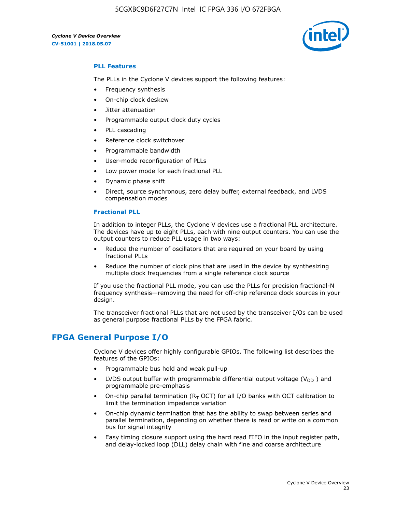5CGXBC9D6F27C7N Intel IC FPGA 336 I/O 672FBGA

*Cyclone V Device Overview* **CV-51001 | 2018.05.07**



# **PLL Features**

The PLLs in the Cyclone V devices support the following features:

- Frequency synthesis
- On-chip clock deskew
- Jitter attenuation
- Programmable output clock duty cycles
- PLL cascading
- Reference clock switchover
- Programmable bandwidth
- User-mode reconfiguration of PLLs
- Low power mode for each fractional PLL
- Dynamic phase shift
- Direct, source synchronous, zero delay buffer, external feedback, and LVDS compensation modes

#### **Fractional PLL**

In addition to integer PLLs, the Cyclone V devices use a fractional PLL architecture. The devices have up to eight PLLs, each with nine output counters. You can use the output counters to reduce PLL usage in two ways:

- Reduce the number of oscillators that are required on your board by using fractional PLLs
- Reduce the number of clock pins that are used in the device by synthesizing multiple clock frequencies from a single reference clock source

If you use the fractional PLL mode, you can use the PLLs for precision fractional-N frequency synthesis—removing the need for off-chip reference clock sources in your design.

The transceiver fractional PLLs that are not used by the transceiver I/Os can be used as general purpose fractional PLLs by the FPGA fabric.

# **FPGA General Purpose I/O**

Cyclone V devices offer highly configurable GPIOs. The following list describes the features of the GPIOs:

- Programmable bus hold and weak pull-up
- LVDS output buffer with programmable differential output voltage ( $V_{OD}$ ) and programmable pre-emphasis
- On-chip parallel termination ( $R<sub>T</sub>$  OCT) for all I/O banks with OCT calibration to limit the termination impedance variation
- On-chip dynamic termination that has the ability to swap between series and parallel termination, depending on whether there is read or write on a common bus for signal integrity
- Easy timing closure support using the hard read FIFO in the input register path, and delay-locked loop (DLL) delay chain with fine and coarse architecture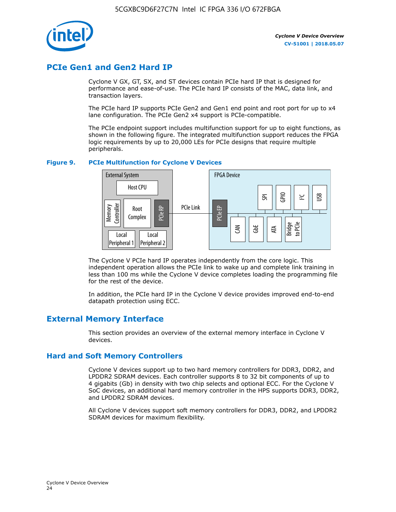

# **PCIe Gen1 and Gen2 Hard IP**

Cyclone V GX, GT, SX, and ST devices contain PCIe hard IP that is designed for performance and ease-of-use. The PCIe hard IP consists of the MAC, data link, and transaction layers.

The PCIe hard IP supports PCIe Gen2 and Gen1 end point and root port for up to x4 lane configuration. The PCIe Gen2 x4 support is PCIe-compatible.

The PCIe endpoint support includes multifunction support for up to eight functions, as shown in the following figure. The integrated multifunction support reduces the FPGA logic requirements by up to 20,000 LEs for PCIe designs that require multiple peripherals.

## **Figure 9. PCIe Multifunction for Cyclone V Devices**



The Cyclone V PCIe hard IP operates independently from the core logic. This independent operation allows the PCIe link to wake up and complete link training in less than 100 ms while the Cyclone V device completes loading the programming file for the rest of the device.

In addition, the PCIe hard IP in the Cyclone V device provides improved end-to-end datapath protection using ECC.

# **External Memory Interface**

This section provides an overview of the external memory interface in Cyclone V devices.

# **Hard and Soft Memory Controllers**

Cyclone V devices support up to two hard memory controllers for DDR3, DDR2, and LPDDR2 SDRAM devices. Each controller supports 8 to 32 bit components of up to 4 gigabits (Gb) in density with two chip selects and optional ECC. For the Cyclone V SoC devices, an additional hard memory controller in the HPS supports DDR3, DDR2, and LPDDR2 SDRAM devices.

All Cyclone V devices support soft memory controllers for DDR3, DDR2, and LPDDR2 SDRAM devices for maximum flexibility.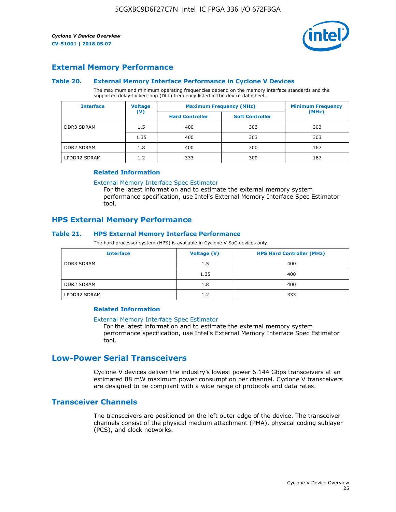

# **External Memory Performance**

## **Table 20. External Memory Interface Performance in Cyclone V Devices**

The maximum and minimum operating frequencies depend on the memory interface standards and the supported delay-locked loop (DLL) frequency listed in the device datasheet.

| <b>Voltage</b><br><b>Interface</b> |                | <b>Maximum Frequency (MHz)</b> | <b>Minimum Frequency</b> |       |  |
|------------------------------------|----------------|--------------------------------|--------------------------|-------|--|
|                                    | $(\mathsf{V})$ | <b>Hard Controller</b>         | <b>Soft Controller</b>   | (MHz) |  |
| <b>DDR3 SDRAM</b>                  | 1.5            | 400                            | 303                      | 303   |  |
|                                    | 1.35           | 400                            | 303                      | 303   |  |
| <b>DDR2 SDRAM</b>                  | 1.8            | 400                            | 300                      | 167   |  |
| LPDDR2 SDRAM                       | 1.2            | 333                            | 300                      | 167   |  |

#### **Related Information**

[External Memory Interface Spec Estimator](https://www.altera.com/solutions/technology/external-memory/spec-estimator.html)

For the latest information and to estimate the external memory system performance specification, use Intel's External Memory Interface Spec Estimator tool.

# **HPS External Memory Performance**

## **Table 21. HPS External Memory Interface Performance**

The hard processor system (HPS) is available in Cyclone V SoC devices only.

| <b>Interface</b>  | Voltage (V) | <b>HPS Hard Controller (MHz)</b> |
|-------------------|-------------|----------------------------------|
| <b>DDR3 SDRAM</b> | 1.5         | 400                              |
|                   | 1.35        | 400                              |
| <b>DDR2 SDRAM</b> | 1.8         | 400                              |
| LPDDR2 SDRAM      | 1.2         | 333                              |

# **Related Information**

#### [External Memory Interface Spec Estimator](https://www.altera.com/solutions/technology/external-memory/spec-estimator.html)

For the latest information and to estimate the external memory system performance specification, use Intel's External Memory Interface Spec Estimator tool.

# **Low-Power Serial Transceivers**

Cyclone V devices deliver the industry's lowest power 6.144 Gbps transceivers at an estimated 88 mW maximum power consumption per channel. Cyclone V transceivers are designed to be compliant with a wide range of protocols and data rates.

# **Transceiver Channels**

The transceivers are positioned on the left outer edge of the device. The transceiver channels consist of the physical medium attachment (PMA), physical coding sublayer (PCS), and clock networks.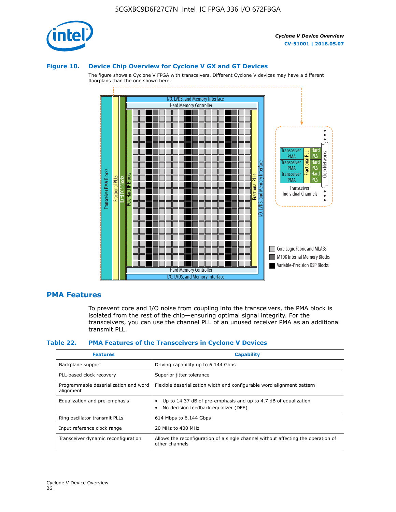

#### **Figure 10. Device Chip Overview for Cyclone V GX and GT Devices**

The figure shows a Cyclone V FPGA with transceivers. Different Cyclone V devices may have a different floorplans than the one shown here.



# **PMA Features**

To prevent core and I/O noise from coupling into the transceivers, the PMA block is isolated from the rest of the chip—ensuring optimal signal integrity. For the transceivers, you can use the channel PLL of an unused receiver PMA as an additional transmit PLL.

#### **Table 22. PMA Features of the Transceivers in Cyclone V Devices**

| <b>Features</b>                                    | <b>Capability</b>                                                                                       |
|----------------------------------------------------|---------------------------------------------------------------------------------------------------------|
| Backplane support                                  | Driving capability up to 6.144 Gbps                                                                     |
| PLL-based clock recovery                           | Superior jitter tolerance                                                                               |
| Programmable deserialization and word<br>alignment | Flexible deserialization width and configurable word alignment pattern                                  |
| Equalization and pre-emphasis                      | Up to 14.37 dB of pre-emphasis and up to 4.7 dB of equalization<br>No decision feedback equalizer (DFE) |
| Ring oscillator transmit PLLs                      | 614 Mbps to 6.144 Gbps                                                                                  |
| Input reference clock range                        | 20 MHz to 400 MHz                                                                                       |
| Transceiver dynamic reconfiguration                | Allows the reconfiguration of a single channel without affecting the operation of<br>other channels     |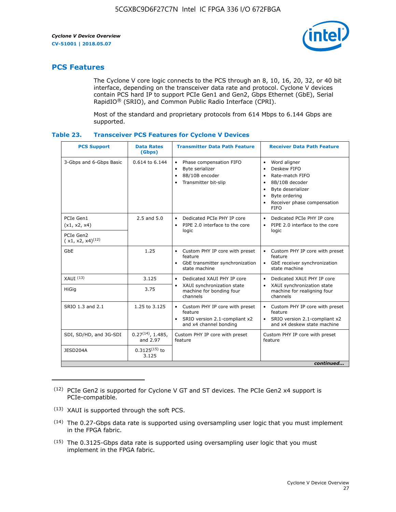

# **PCS Features**

The Cyclone V core logic connects to the PCS through an 8, 10, 16, 20, 32, or 40 bit interface, depending on the transceiver data rate and protocol. Cyclone V devices contain PCS hard IP to support PCIe Gen1 and Gen2, Gbps Ethernet (GbE), Serial RapidIO® (SRIO), and Common Public Radio Interface (CPRI).

Most of the standard and proprietary protocols from 614 Mbps to 6.144 Gbps are supported.

| Table 23. |  | <b>Transceiver PCS Features for Cyclone V Devices</b> |
|-----------|--|-------------------------------------------------------|
|           |  |                                                       |

| <b>PCS Support</b>                 | <b>Data Rates</b><br>(Gbps)        | <b>Transmitter Data Path Feature</b>                                                                         | <b>Receiver Data Path Feature</b>                                                                                                                                                                                                  |  |  |
|------------------------------------|------------------------------------|--------------------------------------------------------------------------------------------------------------|------------------------------------------------------------------------------------------------------------------------------------------------------------------------------------------------------------------------------------|--|--|
| 3-Gbps and 6-Gbps Basic            | 0.614 to 6.144                     | • Phase compensation FIFO<br>Byte serializer<br>8B/10B encoder<br>Transmitter bit-slip                       | Word aligner<br>$\bullet$<br>Deskew FIFO<br>$\bullet$<br>Rate-match FIFO<br>$\bullet$<br>8B/10B decoder<br>$\bullet$<br>Byte deserializer<br>$\bullet$<br>Byte ordering<br>$\bullet$<br>Receiver phase compensation<br><b>FIFO</b> |  |  |
| PCIe Gen1<br>(x1, x2, x4)          | $2.5$ and $5.0$                    | Dedicated PCIe PHY IP core<br>PIPE 2.0 interface to the core<br>$\bullet$<br>logic                           | Dedicated PCIe PHY IP core<br>$\bullet$<br>PIPE 2.0 interface to the core<br>$\bullet$<br>logic                                                                                                                                    |  |  |
| PCIe Gen2<br>$(x1, x2, x4)^{(12)}$ |                                    |                                                                                                              |                                                                                                                                                                                                                                    |  |  |
| GbE                                | 1.25                               | • Custom PHY IP core with preset<br>feature<br>GbE transmitter synchronization<br>$\bullet$<br>state machine | • Custom PHY IP core with preset<br>feature<br>GbE receiver synchronization<br>state machine                                                                                                                                       |  |  |
| $XAUI$ $(13)$                      | 3.125                              | Dedicated XAUI PHY IP core<br>$\bullet$                                                                      | Dedicated XAUI PHY IP core<br>$\bullet$                                                                                                                                                                                            |  |  |
| <b>HiGig</b>                       | 3.75                               | XAUI synchronization state<br>$\bullet$<br>machine for bonding four<br>channels                              | XAUI synchronization state<br>$\bullet$<br>machine for realigning four<br>channels                                                                                                                                                 |  |  |
| SRIO 1.3 and 2.1                   | 1.25 to 3.125                      | • Custom PHY IP core with preset<br>feature<br>• SRIO version 2.1-compliant x2<br>and x4 channel bonding     | • Custom PHY IP core with preset<br>feature<br>• SRIO version 2.1-compliant x2<br>and x4 deskew state machine                                                                                                                      |  |  |
| SDI, SD/HD, and 3G-SDI             | $0.27^{(14)}$ , 1.485,<br>and 2.97 | Custom PHY IP core with preset<br>feature                                                                    | Custom PHY IP core with preset<br>feature                                                                                                                                                                                          |  |  |
| JESD204A                           | $0.3125^{(15)}$ to<br>3.125        |                                                                                                              |                                                                                                                                                                                                                                    |  |  |
| continued                          |                                    |                                                                                                              |                                                                                                                                                                                                                                    |  |  |

<sup>(12)</sup> PCIe Gen2 is supported for Cyclone V GT and ST devices. The PCIe Gen2 x4 support is PCIe-compatible.

<sup>(13)</sup> XAUI is supported through the soft PCS.

<sup>(14)</sup> The 0.27-Gbps data rate is supported using oversampling user logic that you must implement in the FPGA fabric.

<sup>(15)</sup> The 0.3125-Gbps data rate is supported using oversampling user logic that you must implement in the FPGA fabric.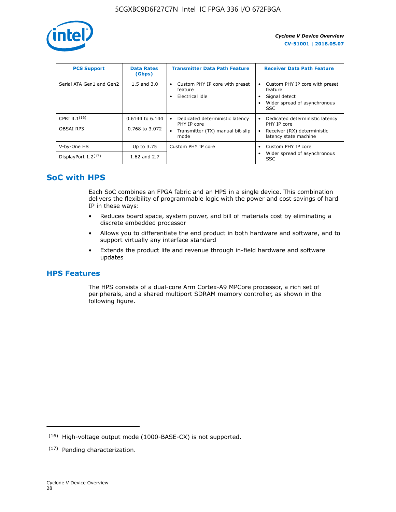

| <b>PCS Support</b>       | <b>Data Rates</b><br>(Gbps) | <b>Transmitter Data Path Feature</b>                         | <b>Receiver Data Path Feature</b>                                                                        |
|--------------------------|-----------------------------|--------------------------------------------------------------|----------------------------------------------------------------------------------------------------------|
| Serial ATA Gen1 and Gen2 | $1.5$ and $3.0$             | Custom PHY IP core with preset<br>feature<br>Electrical idle | Custom PHY IP core with preset<br>feature<br>Signal detect<br>Wider spread of asynchronous<br><b>SSC</b> |
| CPRI 4.1 $(16)$          | 0.6144 to 6.144             | Dedicated deterministic latency<br>٠<br>PHY IP core          | Dedicated deterministic latency<br>PHY IP core                                                           |
| OBSAI RP3                | 0.768 to 3.072              | Transmitter (TX) manual bit-slip<br>$\bullet$<br>mode        | Receiver (RX) deterministic<br>latency state machine                                                     |
| V-by-One HS              | Up to 3.75                  | Custom PHY IP core                                           | Custom PHY IP core                                                                                       |
| DisplayPort $1.2^{(17)}$ | 1.62 and 2.7                |                                                              | Wider spread of asynchronous<br>SSC                                                                      |

# **SoC with HPS**

Each SoC combines an FPGA fabric and an HPS in a single device. This combination delivers the flexibility of programmable logic with the power and cost savings of hard IP in these ways:

- Reduces board space, system power, and bill of materials cost by eliminating a discrete embedded processor
- Allows you to differentiate the end product in both hardware and software, and to support virtually any interface standard
- Extends the product life and revenue through in-field hardware and software updates

# **HPS Features**

The HPS consists of a dual-core Arm Cortex-A9 MPCore processor, a rich set of peripherals, and a shared multiport SDRAM memory controller, as shown in the following figure.

<sup>(16)</sup> High-voltage output mode (1000-BASE-CX) is not supported.

<sup>(17)</sup> Pending characterization.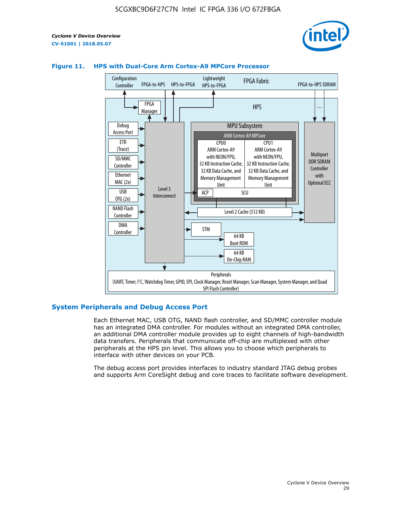



# **Figure 11. HPS with Dual-Core Arm Cortex-A9 MPCore Processor**

## **System Peripherals and Debug Access Port**

Each Ethernet MAC, USB OTG, NAND flash controller, and SD/MMC controller module has an integrated DMA controller. For modules without an integrated DMA controller, an additional DMA controller module provides up to eight channels of high-bandwidth data transfers. Peripherals that communicate off-chip are multiplexed with other peripherals at the HPS pin level. This allows you to choose which peripherals to interface with other devices on your PCB.

The debug access port provides interfaces to industry standard JTAG debug probes and supports Arm CoreSight debug and core traces to facilitate software development.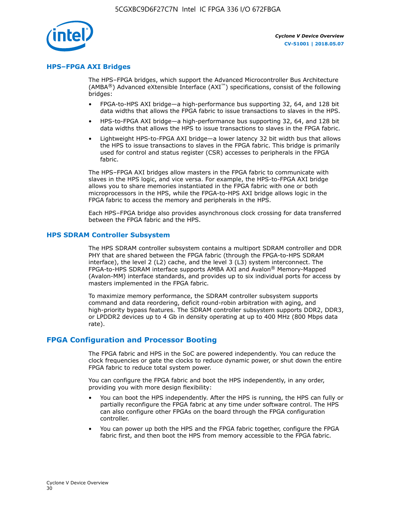

## **HPS–FPGA AXI Bridges**

The HPS–FPGA bridges, which support the Advanced Microcontroller Bus Architecture (AMBA<sup>®</sup>) Advanced eXtensible Interface (AXI<sup>™</sup>) specifications, consist of the following bridges:

- FPGA-to-HPS AXI bridge—a high-performance bus supporting 32, 64, and 128 bit data widths that allows the FPGA fabric to issue transactions to slaves in the HPS.
- HPS-to-FPGA AXI bridge—a high-performance bus supporting 32, 64, and 128 bit data widths that allows the HPS to issue transactions to slaves in the FPGA fabric.
- Lightweight HPS-to-FPGA AXI bridge—a lower latency 32 bit width bus that allows the HPS to issue transactions to slaves in the FPGA fabric. This bridge is primarily used for control and status register (CSR) accesses to peripherals in the FPGA fabric.

The HPS–FPGA AXI bridges allow masters in the FPGA fabric to communicate with slaves in the HPS logic, and vice versa. For example, the HPS-to-FPGA AXI bridge allows you to share memories instantiated in the FPGA fabric with one or both microprocessors in the HPS, while the FPGA-to-HPS AXI bridge allows logic in the FPGA fabric to access the memory and peripherals in the HPS.

Each HPS–FPGA bridge also provides asynchronous clock crossing for data transferred between the FPGA fabric and the HPS.

#### **HPS SDRAM Controller Subsystem**

The HPS SDRAM controller subsystem contains a multiport SDRAM controller and DDR PHY that are shared between the FPGA fabric (through the FPGA-to-HPS SDRAM interface), the level 2 (L2) cache, and the level 3 (L3) system interconnect. The FPGA-to-HPS SDRAM interface supports AMBA AXI and Avalon® Memory-Mapped (Avalon-MM) interface standards, and provides up to six individual ports for access by masters implemented in the FPGA fabric.

To maximize memory performance, the SDRAM controller subsystem supports command and data reordering, deficit round-robin arbitration with aging, and high-priority bypass features. The SDRAM controller subsystem supports DDR2, DDR3, or LPDDR2 devices up to 4 Gb in density operating at up to 400 MHz (800 Mbps data rate).

## **FPGA Configuration and Processor Booting**

The FPGA fabric and HPS in the SoC are powered independently. You can reduce the clock frequencies or gate the clocks to reduce dynamic power, or shut down the entire FPGA fabric to reduce total system power.

You can configure the FPGA fabric and boot the HPS independently, in any order, providing you with more design flexibility:

- You can boot the HPS independently. After the HPS is running, the HPS can fully or partially reconfigure the FPGA fabric at any time under software control. The HPS can also configure other FPGAs on the board through the FPGA configuration controller.
- You can power up both the HPS and the FPGA fabric together, configure the FPGA fabric first, and then boot the HPS from memory accessible to the FPGA fabric.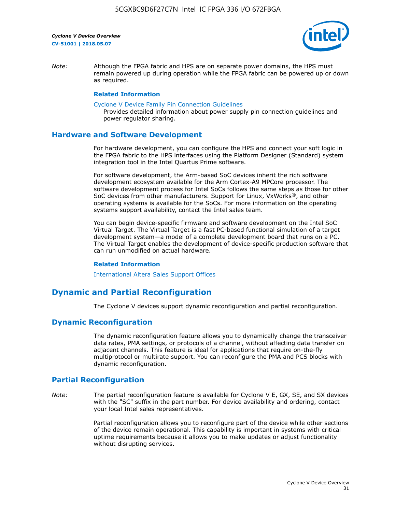

*Note:* Although the FPGA fabric and HPS are on separate power domains, the HPS must remain powered up during operation while the FPGA fabric can be powered up or down as required.

#### **Related Information**

[Cyclone V Device Family Pin Connection Guidelines](https://www.altera.com/content/dam/altera-www/global/en_US/pdfs/literature/dp/cyclone-v/pcg-01014.pdf)

Provides detailed information about power supply pin connection guidelines and power regulator sharing.

## **Hardware and Software Development**

For hardware development, you can configure the HPS and connect your soft logic in the FPGA fabric to the HPS interfaces using the Platform Designer (Standard) system integration tool in the Intel Quartus Prime software.

For software development, the Arm-based SoC devices inherit the rich software development ecosystem available for the Arm Cortex-A9 MPCore processor. The software development process for Intel SoCs follows the same steps as those for other SoC devices from other manufacturers. Support for Linux, VxWorks®, and other operating systems is available for the SoCs. For more information on the operating systems support availability, contact the Intel sales team.

You can begin device-specific firmware and software development on the Intel SoC Virtual Target. The Virtual Target is a fast PC-based functional simulation of a target development system—a model of a complete development board that runs on a PC. The Virtual Target enables the development of device-specific production software that can run unmodified on actual hardware.

#### **Related Information**

[International Altera Sales Support Offices](https://www.altera.com/about/contact/contact/international-altera-sales-offices.html)

# **Dynamic and Partial Reconfiguration**

The Cyclone V devices support dynamic reconfiguration and partial reconfiguration.

# **Dynamic Reconfiguration**

The dynamic reconfiguration feature allows you to dynamically change the transceiver data rates, PMA settings, or protocols of a channel, without affecting data transfer on adjacent channels. This feature is ideal for applications that require on-the-fly multiprotocol or multirate support. You can reconfigure the PMA and PCS blocks with dynamic reconfiguration.

# **Partial Reconfiguration**

*Note:* The partial reconfiguration feature is available for Cyclone V E, GX, SE, and SX devices with the "SC" suffix in the part number. For device availability and ordering, contact your local Intel sales representatives.

> Partial reconfiguration allows you to reconfigure part of the device while other sections of the device remain operational. This capability is important in systems with critical uptime requirements because it allows you to make updates or adjust functionality without disrupting services.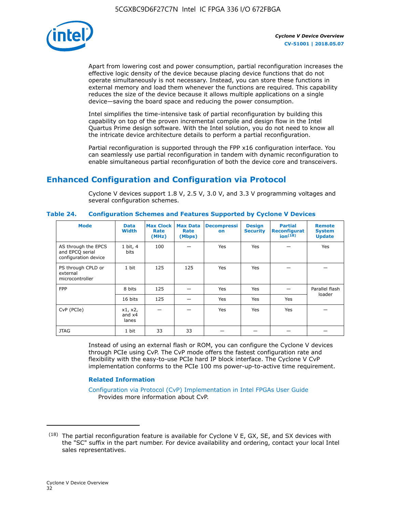

Apart from lowering cost and power consumption, partial reconfiguration increases the effective logic density of the device because placing device functions that do not operate simultaneously is not necessary. Instead, you can store these functions in external memory and load them whenever the functions are required. This capability reduces the size of the device because it allows multiple applications on a single device—saving the board space and reducing the power consumption.

Intel simplifies the time-intensive task of partial reconfiguration by building this capability on top of the proven incremental compile and design flow in the Intel Quartus Prime design software. With the Intel solution, you do not need to know all the intricate device architecture details to perform a partial reconfiguration.

Partial reconfiguration is supported through the FPP x16 configuration interface. You can seamlessly use partial reconfiguration in tandem with dynamic reconfiguration to enable simultaneous partial reconfiguration of both the device core and transceivers.

# **Enhanced Configuration and Configuration via Protocol**

Cyclone V devices support 1.8 V, 2.5 V, 3.0 V, and 3.3 V programming voltages and several configuration schemes.

| <b>Mode</b>                                                    | <b>Data</b><br>Width         | Max Clock  <br>Rate<br>(MHz) | <b>Max Data</b><br>Rate<br>(Mbps) | <b>Decompressi</b><br>on | <b>Design</b><br><b>Security</b> | <b>Partial</b><br>Reconfigurat<br>ion <sup>(18)</sup> | <b>Remote</b><br><b>System</b><br><b>Update</b> |
|----------------------------------------------------------------|------------------------------|------------------------------|-----------------------------------|--------------------------|----------------------------------|-------------------------------------------------------|-------------------------------------------------|
| AS through the EPCS<br>and EPCQ serial<br>configuration device | 1 bit, 4<br>bits             | 100                          |                                   | Yes                      | <b>Yes</b>                       |                                                       | Yes                                             |
| PS through CPLD or<br>external<br>microcontroller              | 1 bit                        | 125                          | 125                               | Yes                      | Yes                              |                                                       |                                                 |
| <b>FPP</b>                                                     | 8 bits                       | 125                          |                                   | Yes                      | <b>Yes</b>                       |                                                       | Parallel flash                                  |
|                                                                | 16 bits                      | 125                          |                                   | Yes                      | <b>Yes</b>                       | Yes                                                   | loader                                          |
| CvP (PCIe)                                                     | x1, x2,<br>and $x4$<br>lanes |                              |                                   | Yes                      | <b>Yes</b>                       | Yes                                                   |                                                 |
| <b>JTAG</b>                                                    | 1 bit                        | 33                           | 33                                |                          |                                  |                                                       |                                                 |

**Table 24. Configuration Schemes and Features Supported by Cyclone V Devices**

Instead of using an external flash or ROM, you can configure the Cyclone V devices through PCIe using CvP. The CvP mode offers the fastest configuration rate and flexibility with the easy-to-use PCIe hard IP block interface. The Cyclone V CvP implementation conforms to the PCIe 100 ms power-up-to-active time requirement.

# **Related Information**

[Configuration via Protocol \(CvP\) Implementation in Intel FPGAs User Guide](https://www.altera.com/documentation/nik1412546950394.html#nik1412546833714) Provides more information about CvP.

 $(18)$  The partial reconfiguration feature is available for Cyclone V E, GX, SE, and SX devices with the "SC" suffix in the part number. For device availability and ordering, contact your local Intel sales representatives.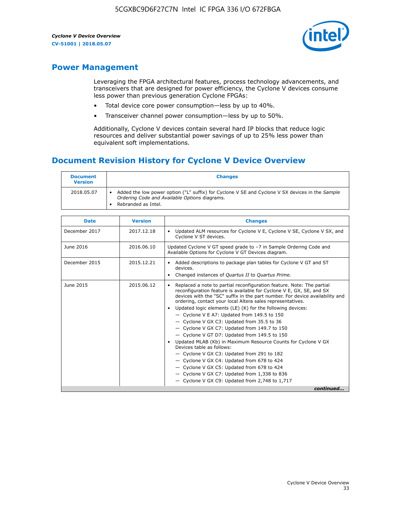

# **Power Management**

Leveraging the FPGA architectural features, process technology advancements, and transceivers that are designed for power efficiency, the Cyclone V devices consume less power than previous generation Cyclone FPGAs:

- Total device core power consumption—less by up to 40%.
- Transceiver channel power consumption—less by up to 50%.

Additionally, Cyclone V devices contain several hard IP blocks that reduce logic resources and deliver substantial power savings of up to 25% less power than equivalent soft implementations.

# **Document Revision History for Cyclone V Device Overview**

| <b>Document</b><br><b>Version</b> | <b>Changes</b>                                                                                                                                                          |
|-----------------------------------|-------------------------------------------------------------------------------------------------------------------------------------------------------------------------|
| 2018.05.07                        | Added the low power option ("L" suffix) for Cyclone V SE and Cyclone V SX devices in the Sample<br>Ordering Code and Available Options diagrams.<br>Rebranded as Intel. |

| <b>Date</b>   | <b>Version</b> | <b>Changes</b>                                                                                                                                                                                                                                                                                                                                                                                                                                                                                                                                                                                                                                                                                                                                                                                                                                                                                                    |
|---------------|----------------|-------------------------------------------------------------------------------------------------------------------------------------------------------------------------------------------------------------------------------------------------------------------------------------------------------------------------------------------------------------------------------------------------------------------------------------------------------------------------------------------------------------------------------------------------------------------------------------------------------------------------------------------------------------------------------------------------------------------------------------------------------------------------------------------------------------------------------------------------------------------------------------------------------------------|
| December 2017 | 2017.12.18     | Updated ALM resources for Cyclone V E, Cyclone V SE, Cyclone V SX, and<br>Cyclone V ST devices.                                                                                                                                                                                                                                                                                                                                                                                                                                                                                                                                                                                                                                                                                                                                                                                                                   |
| June 2016     | 2016.06.10     | Updated Cyclone V GT speed grade to -7 in Sample Ordering Code and<br>Available Options for Cyclone V GT Devices diagram.                                                                                                                                                                                                                                                                                                                                                                                                                                                                                                                                                                                                                                                                                                                                                                                         |
| December 2015 | 2015.12.21     | Added descriptions to package plan tables for Cyclone V GT and ST<br>devices.<br>Changed instances of Quartus II to Quartus Prime.<br>$\bullet$                                                                                                                                                                                                                                                                                                                                                                                                                                                                                                                                                                                                                                                                                                                                                                   |
| June 2015     | 2015.06.12     | Replaced a note to partial reconfiguration feature. Note: The partial<br>reconfiguration feature is available for Cyclone V E, GX, SE, and SX<br>devices with the "SC" suffix in the part number. For device availability and<br>ordering, contact your local Altera sales representatives.<br>Updated logic elements (LE) (K) for the following devices:<br>$\bullet$<br>$-$ Cyclone V E A7: Updated from 149.5 to 150<br>- Cyclone V GX C3: Updated from 35.5 to 36<br>- Cyclone V GX C7: Updated from 149.7 to 150<br>- Cyclone V GT D7: Updated from 149.5 to 150<br>Updated MLAB (Kb) in Maximum Resource Counts for Cyclone V GX<br>Devices table as follows:<br>- Cyclone V GX C3: Updated from 291 to 182<br>- Cyclone V GX C4: Updated from 678 to 424<br>- Cyclone V GX C5: Updated from 678 to 424<br>- Cyclone V GX C7: Updated from 1,338 to 836<br>$-$ Cyclone V GX C9: Updated from 2,748 to 1,717 |
|               |                | continued                                                                                                                                                                                                                                                                                                                                                                                                                                                                                                                                                                                                                                                                                                                                                                                                                                                                                                         |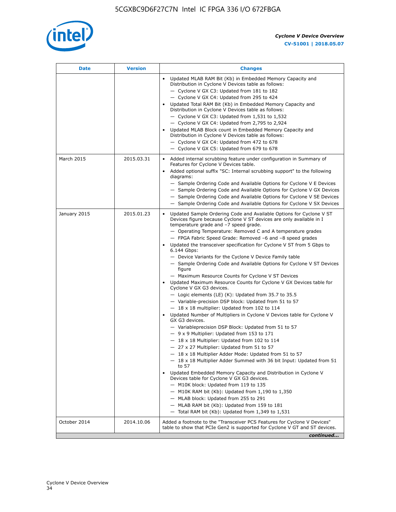

| <b>Date</b>  | <b>Version</b> | <b>Changes</b>                                                                                                                                                                                                                                                                                                                                                                                                                                                                                                                                                                                                                                                                                                                                                                                                                                                                                                                                                                                                                                                                                                                                                                                                                                                                                                                                                                                                                                                                                                                                                                                                                                                                                                |
|--------------|----------------|---------------------------------------------------------------------------------------------------------------------------------------------------------------------------------------------------------------------------------------------------------------------------------------------------------------------------------------------------------------------------------------------------------------------------------------------------------------------------------------------------------------------------------------------------------------------------------------------------------------------------------------------------------------------------------------------------------------------------------------------------------------------------------------------------------------------------------------------------------------------------------------------------------------------------------------------------------------------------------------------------------------------------------------------------------------------------------------------------------------------------------------------------------------------------------------------------------------------------------------------------------------------------------------------------------------------------------------------------------------------------------------------------------------------------------------------------------------------------------------------------------------------------------------------------------------------------------------------------------------------------------------------------------------------------------------------------------------|
|              |                | Updated MLAB RAM Bit (Kb) in Embedded Memory Capacity and<br>Distribution in Cyclone V Devices table as follows:<br>- Cyclone V GX C3: Updated from 181 to 182<br>- Cyclone V GX C4: Updated from 295 to 424<br>Updated Total RAM Bit (Kb) in Embedded Memory Capacity and<br>Distribution in Cyclone V Devices table as follows:<br>- Cyclone V GX C3: Updated from $1,531$ to $1,532$<br>- Cyclone V GX C4: Updated from 2,795 to 2,924<br>Updated MLAB Block count in Embedded Memory Capacity and<br>Distribution in Cyclone V Devices table as follows:<br>- Cyclone V GX C4: Updated from 472 to 678<br>- Cyclone V GX C5: Updated from 679 to 678                                                                                                                                                                                                                                                                                                                                                                                                                                                                                                                                                                                                                                                                                                                                                                                                                                                                                                                                                                                                                                                      |
| March 2015   | 2015.03.31     | Added internal scrubbing feature under configuration in Summary of<br>$\bullet$<br>Features for Cyclone V Devices table.<br>Added optional suffix "SC: Internal scrubbing support" to the following<br>diagrams:<br>- Sample Ordering Code and Available Options for Cyclone V E Devices<br>- Sample Ordering Code and Available Options for Cyclone V GX Devices<br>- Sample Ordering Code and Available Options for Cyclone V SE Devices<br>- Sample Ordering Code and Available Options for Cyclone V SX Devices                                                                                                                                                                                                                                                                                                                                                                                                                                                                                                                                                                                                                                                                                                                                                                                                                                                                                                                                                                                                                                                                                                                                                                                           |
| January 2015 | 2015.01.23     | Updated Sample Ordering Code and Available Options for Cyclone V ST<br>Devices figure because Cyclone V ST devices are only available in I<br>temperature grade and -7 speed grade.<br>- Operating Temperature: Removed C and A temperature grades<br>- FPGA Fabric Speed Grade: Removed -6 and -8 speed grades<br>Updated the transceiver specification for Cyclone V ST from 5 Gbps to<br>6.144 Gbps:<br>- Device Variants for the Cyclone V Device Family table<br>- Sample Ordering Code and Available Options for Cyclone V ST Devices<br>figure<br>- Maximum Resource Counts for Cyclone V ST Devices<br>Updated Maximum Resource Counts for Cyclone V GX Devices table for<br>Cyclone V GX G3 devices.<br>$-$ Logic elements (LE) (K): Updated from 35.7 to 35.5<br>- Variable-precision DSP block: Updated from 51 to 57<br>$-18 \times 18$ multiplier: Updated from 102 to 114<br>Updated Number of Multipliers in Cyclone V Devices table for Cyclone V<br>GX G3 devices.<br>- Variableprecision DSP Block: Updated from 51 to 57<br>$-9x9$ Multiplier: Updated from 153 to 171<br>$-18 \times 18$ Multiplier: Updated from 102 to 114<br>- 27 x 27 Multiplier: Updated from 51 to 57<br>- 18 x 18 Multiplier Adder Mode: Updated from 51 to 57<br>$-18 \times 18$ Multiplier Adder Summed with 36 bit Input: Updated from 51<br>to 57<br>Updated Embedded Memory Capacity and Distribution in Cyclone V<br>Devices table for Cyclone V GX G3 devices.<br>- M10K block: Updated from 119 to 135<br>- M10K RAM bit (Kb): Updated from 1,190 to 1,350<br>- MLAB block: Updated from 255 to 291<br>- MLAB RAM bit (Kb): Updated from 159 to 181<br>$-$ Total RAM bit (Kb): Updated from 1,349 to 1,531 |
| October 2014 | 2014.10.06     | Added a footnote to the "Transceiver PCS Features for Cyclone V Devices"<br>table to show that PCIe Gen2 is supported for Cyclone V GT and ST devices.                                                                                                                                                                                                                                                                                                                                                                                                                                                                                                                                                                                                                                                                                                                                                                                                                                                                                                                                                                                                                                                                                                                                                                                                                                                                                                                                                                                                                                                                                                                                                        |
|              |                | continued                                                                                                                                                                                                                                                                                                                                                                                                                                                                                                                                                                                                                                                                                                                                                                                                                                                                                                                                                                                                                                                                                                                                                                                                                                                                                                                                                                                                                                                                                                                                                                                                                                                                                                     |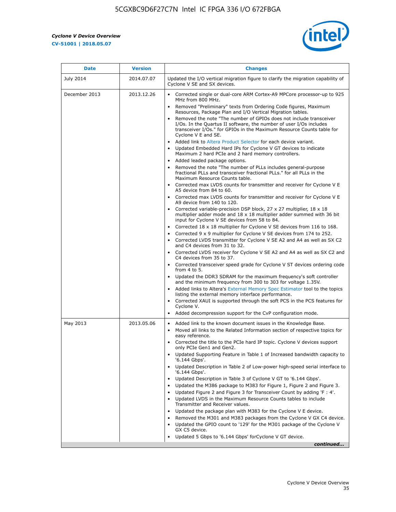r



| <b>Date</b>   | <b>Version</b> | <b>Changes</b>                                                                                                                                                                                                                           |
|---------------|----------------|------------------------------------------------------------------------------------------------------------------------------------------------------------------------------------------------------------------------------------------|
| July 2014     | 2014.07.07     | Updated the I/O vertical migration figure to clarify the migration capability of<br>Cyclone V SE and SX devices.                                                                                                                         |
| December 2013 | 2013.12.26     | Corrected single or dual-core ARM Cortex-A9 MPCore processor-up to 925<br>MHz from 800 MHz.                                                                                                                                              |
|               |                | Removed "Preliminary" texts from Ordering Code figures, Maximum<br>Resources, Package Plan and I/O Vertical Migration tables.                                                                                                            |
|               |                | Removed the note "The number of GPIOs does not include transceiver<br>I/Os. In the Quartus II software, the number of user I/Os includes<br>transceiver I/Os." for GPIOs in the Maximum Resource Counts table for<br>Cyclone V E and SE. |
|               |                | Added link to Altera Product Selector for each device variant.<br>Updated Embedded Hard IPs for Cyclone V GT devices to indicate<br>Maximum 2 hard PCIe and 2 hard memory controllers.                                                   |
|               |                | • Added leaded package options.                                                                                                                                                                                                          |
|               |                | Removed the note "The number of PLLs includes general-purpose<br>fractional PLLs and transceiver fractional PLLs." for all PLLs in the<br>Maximum Resource Counts table.                                                                 |
|               |                | • Corrected max LVDS counts for transmitter and receiver for Cyclone V E<br>A5 device from 84 to 60.                                                                                                                                     |
|               |                | • Corrected max LVDS counts for transmitter and receiver for Cyclone V E<br>A9 device from 140 to 120.                                                                                                                                   |
|               |                | Corrected variable-precision DSP block, 27 x 27 multiplier, 18 x 18<br>multiplier adder mode and 18 x 18 multiplier adder summed with 36 bit<br>input for Cyclone V SE devices from 58 to 84.                                            |
|               |                | Corrected 18 x 18 multiplier for Cyclone V SE devices from 116 to 168.                                                                                                                                                                   |
|               |                | Corrected 9 x 9 multiplier for Cyclone V SE devices from 174 to 252.                                                                                                                                                                     |
|               |                | • Corrected LVDS transmitter for Cyclone V SE A2 and A4 as well as SX C2<br>and C4 devices from 31 to 32.                                                                                                                                |
|               |                | • Corrected LVDS receiver for Cyclone V SE A2 and A4 as well as SX C2 and<br>C4 devices from 35 to 37.                                                                                                                                   |
|               |                | • Corrected transceiver speed grade for Cyclone V ST devices ordering code<br>from 4 to 5.                                                                                                                                               |
|               |                | • Updated the DDR3 SDRAM for the maximum frequency's soft controller<br>and the minimum frequency from 300 to 303 for voltage 1.35V.                                                                                                     |
|               |                | Added links to Altera's External Memory Spec Estimator tool to the topics<br>listing the external memory interface performance.                                                                                                          |
|               |                | • Corrected XAUI is supported through the soft PCS in the PCS features for<br>Cyclone V.                                                                                                                                                 |
|               |                | Added decompression support for the CvP configuration mode.                                                                                                                                                                              |
| May 2013      | 2013.05.06     | Added link to the known document issues in the Knowledge Base.<br>$\bullet$<br>Moved all links to the Related Information section of respective topics for<br>$\bullet$<br>easy reference.                                               |
|               |                | • Corrected the title to the PCIe hard IP topic. Cyclone V devices support<br>only PCIe Gen1 and Gen2.                                                                                                                                   |
|               |                | • Updated Supporting Feature in Table 1 of Increased bandwidth capacity to<br>'6.144 Gbps'.                                                                                                                                              |
|               |                | Updated Description in Table 2 of Low-power high-speed serial interface to<br>'6.144 Gbps'.                                                                                                                                              |
|               |                | Updated Description in Table 3 of Cyclone V GT to '6.144 Gbps'.                                                                                                                                                                          |
|               |                | Updated the M386 package to M383 for Figure 1, Figure 2 and Figure 3.<br>$\bullet$                                                                                                                                                       |
|               |                | Updated Figure 2 and Figure 3 for Transceiver Count by adding 'F : 4'.<br>$\bullet$                                                                                                                                                      |
|               |                | Updated LVDS in the Maximum Resource Counts tables to include<br>Transmitter and Receiver values.                                                                                                                                        |
|               |                | Updated the package plan with M383 for the Cyclone V E device.                                                                                                                                                                           |
|               |                | Removed the M301 and M383 packages from the Cyclone V GX C4 device.<br>Updated the GPIO count to '129' for the M301 package of the Cyclone V                                                                                             |
|               |                | GX C5 device.                                                                                                                                                                                                                            |
|               |                | Updated 5 Gbps to '6.144 Gbps' for Cyclone V GT device.                                                                                                                                                                                  |
|               |                | continued                                                                                                                                                                                                                                |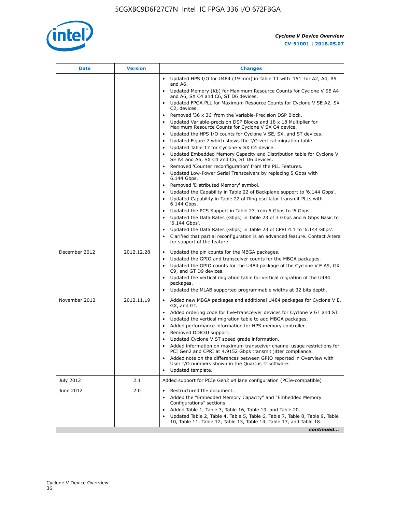

| Date          | <b>Version</b> | <b>Changes</b>                                                                                                                                                                                                                                                                                                                                                                                                                                                                                                                                                                                                                                                                                                                                                                                                                                                                           |
|---------------|----------------|------------------------------------------------------------------------------------------------------------------------------------------------------------------------------------------------------------------------------------------------------------------------------------------------------------------------------------------------------------------------------------------------------------------------------------------------------------------------------------------------------------------------------------------------------------------------------------------------------------------------------------------------------------------------------------------------------------------------------------------------------------------------------------------------------------------------------------------------------------------------------------------|
|               |                | • Updated HPS I/O for U484 (19 mm) in Table 11 with '151' for A2, A4, A5<br>and A6.                                                                                                                                                                                                                                                                                                                                                                                                                                                                                                                                                                                                                                                                                                                                                                                                      |
|               |                | • Updated Memory (Kb) for Maximum Resource Counts for Cyclone V SE A4<br>and A6, SX C4 and C6, ST D6 devices.                                                                                                                                                                                                                                                                                                                                                                                                                                                                                                                                                                                                                                                                                                                                                                            |
|               |                | Updated FPGA PLL for Maximum Resource Counts for Cyclone V SE A2, SX<br>C2, devices.                                                                                                                                                                                                                                                                                                                                                                                                                                                                                                                                                                                                                                                                                                                                                                                                     |
|               |                | • Removed '36 x 36' from the Variable-Precision DSP Block.<br>Updated Variable-precision DSP Blocks and 18 x 18 Multiplier for<br>Maximum Resource Counts for Cyclone V SX C4 device.<br>Updated the HPS I/O counts for Cyclone V SE, SX, and ST devices.<br>$\bullet$<br>Updated Figure 7 which shows the I/O vertical migration table.<br>Updated Table 17 for Cyclone V SX C4 device.<br>$\bullet$<br>• Updated Embedded Memory Capacity and Distribution table for Cyclone V<br>SE A4 and A6, SX C4 and C6, ST D6 devices.<br>Removed 'Counter reconfiguration' from the PLL Features.<br>Updated Low-Power Serial Transceivers by replacing 5 Gbps with<br>6.144 Gbps.<br>• Removed 'Distributed Memory' symbol.<br>Updated the Capability in Table 22 of Backplane support to '6.144 Gbps'.<br>Updated Capability in Table 22 of Ring oscillator transmit PLLs with<br>6.144 Gbps. |
|               |                | Updated the PCS Support in Table 23 from 5 Gbps to '6 Gbps'.<br>Updated the Data Rates (Gbps) in Table 23 of 3 Gbps and 6 Gbps Basic to<br>$\bullet$<br>'6.144 Gbps'.                                                                                                                                                                                                                                                                                                                                                                                                                                                                                                                                                                                                                                                                                                                    |
|               |                | Updated the Data Rates (Gbps) in Table 23 of CPRI 4.1 to '6.144 Gbps'.<br>Clarified that partial reconfiguration is an advanced feature. Contact Altera<br>for support of the feature.                                                                                                                                                                                                                                                                                                                                                                                                                                                                                                                                                                                                                                                                                                   |
| December 2012 | 2012.12.28     | Updated the pin counts for the MBGA packages.<br>$\bullet$<br>Updated the GPIO and transceiver counts for the MBGA packages.<br>$\bullet$<br>Updated the GPIO counts for the U484 package of the Cyclone V E A9, GX<br>C9, and GT D9 devices.<br>• Updated the vertical migration table for vertical migration of the U484<br>packages.<br>Updated the MLAB supported programmable widths at 32 bits depth.                                                                                                                                                                                                                                                                                                                                                                                                                                                                              |
| November 2012 | 2012.11.19     | • Added new MBGA packages and additional U484 packages for Cyclone V E,<br>GX, and GT.<br>• Added ordering code for five-transceiver devices for Cyclone V GT and ST.<br>Updated the vertical migration table to add MBGA packages.<br>$\bullet$<br>Added performance information for HPS memory controller.<br>$\bullet$<br>Removed DDR3U support.<br>$\bullet$<br>Updated Cyclone V ST speed grade information.<br>Added information on maximum transceiver channel usage restrictions for<br>PCI Gen2 and CPRI at 4.9152 Gbps transmit jitter compliance.<br>Added note on the differences between GPIO reported in Overview with<br>User I/O numbers shown in the Quartus II software.<br>Updated template.                                                                                                                                                                          |
| July 2012     | 2.1            | Added support for PCIe Gen2 x4 lane configuration (PCIe-compatible)                                                                                                                                                                                                                                                                                                                                                                                                                                                                                                                                                                                                                                                                                                                                                                                                                      |
| June 2012     | 2.0            | Restructured the document.<br>٠<br>Added the "Embedded Memory Capacity" and "Embedded Memory<br>Configurations" sections.<br>Added Table 1, Table 3, Table 16, Table 19, and Table 20.<br>Updated Table 2, Table 4, Table 5, Table 6, Table 7, Table 8, Table 9, Table<br>10, Table 11, Table 12, Table 13, Table 14, Table 17, and Table 18.<br>continued                                                                                                                                                                                                                                                                                                                                                                                                                                                                                                                               |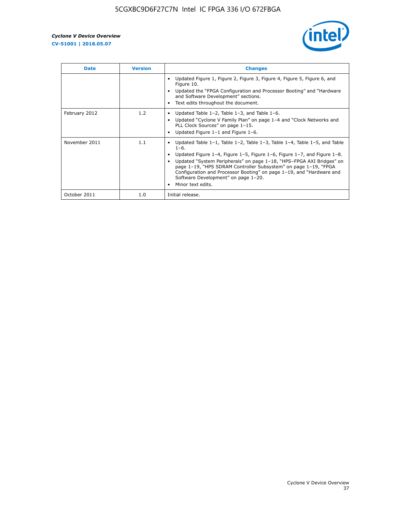

| <b>Date</b>   | <b>Version</b> | <b>Changes</b>                                                                                                                                                                                                                                                                                                                                                                                                                                                              |
|---------------|----------------|-----------------------------------------------------------------------------------------------------------------------------------------------------------------------------------------------------------------------------------------------------------------------------------------------------------------------------------------------------------------------------------------------------------------------------------------------------------------------------|
|               |                | Updated Figure 1, Figure 2, Figure 3, Figure 4, Figure 5, Figure 6, and<br>Figure 10.<br>Updated the "FPGA Configuration and Processor Booting" and "Hardware"<br>and Software Development" sections.<br>Text edits throughout the document.                                                                                                                                                                                                                                |
| February 2012 | 1.2            | Updated Table $1-2$ , Table $1-3$ , and Table $1-6$ .<br>Updated "Cyclone V Family Plan" on page 1-4 and "Clock Networks and<br>PLL Clock Sources" on page 1-15.<br>Updated Figure 1-1 and Figure 1-6.                                                                                                                                                                                                                                                                      |
| November 2011 | 1.1            | Updated Table $1-1$ , Table $1-2$ , Table $1-3$ , Table $1-4$ , Table $1-5$ , and Table<br>$1 - 6$ .<br>Updated Figure 1-4, Figure 1-5, Figure 1-6, Figure 1-7, and Figure 1-8.<br>Updated "System Peripherals" on page 1-18, "HPS-FPGA AXI Bridges" on<br>page 1-19, "HPS SDRAM Controller Subsystem" on page 1-19, "FPGA<br>Configuration and Processor Booting" on page 1-19, and "Hardware and<br>Software Development" on page 1-20.<br>Minor text edits.<br>$\bullet$ |
| October 2011  | 1.0            | Initial release.                                                                                                                                                                                                                                                                                                                                                                                                                                                            |